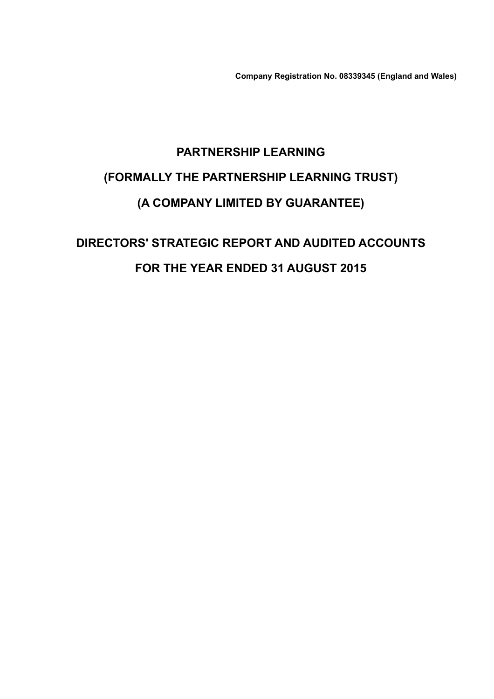Company Registration No. 08339345 (England and Wales)

# PARTNERSHIP LEARNING (FORMALLY THE PARTNERSHIP LEARNING TRUST) (A COMPANY LIMITED BY GUARANTEE)

# DIRECTORS' STRATEGIC REPORT AND AUDITED ACCOUNTS FOR THE YEAR ENDED 31 AUGUST 2015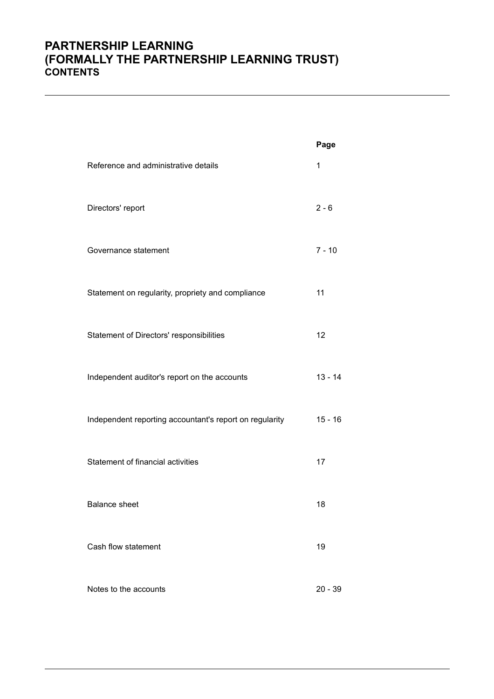### PARTNERSHIP LEARNING (FORMALLY THE PARTNERSHIP LEARNING TRUST) **CONTENTS**

|                                                         | Page      |
|---------------------------------------------------------|-----------|
| Reference and administrative details                    | 1         |
| Directors' report                                       | $2 - 6$   |
| Governance statement                                    | $7 - 10$  |
| Statement on regularity, propriety and compliance       | 11        |
| Statement of Directors' responsibilities                | 12        |
| Independent auditor's report on the accounts            | $13 - 14$ |
| Independent reporting accountant's report on regularity | $15 - 16$ |
| Statement of financial activities                       | 17        |
| <b>Balance sheet</b>                                    | 18        |
| Cash flow statement                                     | 19        |
| Notes to the accounts                                   | $20 - 39$ |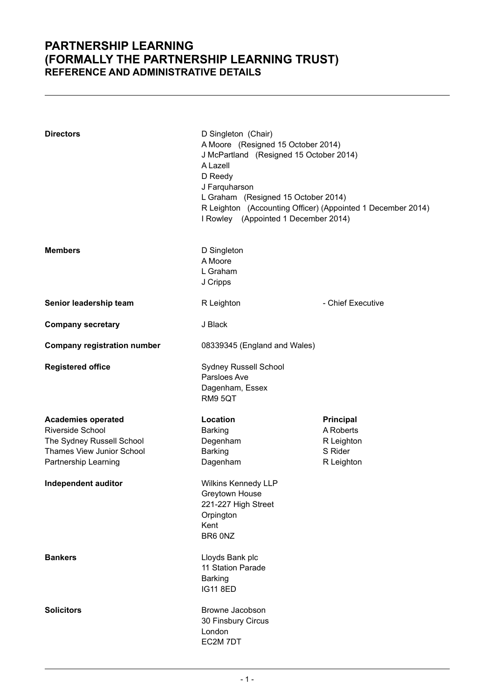### PARTNERSHIP LEARNING (FORMALLY THE PARTNERSHIP LEARNING TRUST) REFERENCE AND ADMINISTRATIVE DETAILS

| <b>Directors</b>                                                                                                                                       | D Singleton (Chair)<br>A Moore (Resigned 15 October 2014)<br>J McPartland (Resigned 15 October 2014)<br>A Lazell<br>D Reedy<br>J Farquharson<br>L Graham (Resigned 15 October 2014)<br>R Leighton (Accounting Officer) (Appointed 1 December 2014)<br>I Rowley (Appointed 1 December 2014) |                                                                      |  |
|--------------------------------------------------------------------------------------------------------------------------------------------------------|--------------------------------------------------------------------------------------------------------------------------------------------------------------------------------------------------------------------------------------------------------------------------------------------|----------------------------------------------------------------------|--|
| <b>Members</b>                                                                                                                                         | D Singleton<br>A Moore<br>L Graham<br>J Cripps                                                                                                                                                                                                                                             |                                                                      |  |
| Senior leadership team                                                                                                                                 | R Leighton                                                                                                                                                                                                                                                                                 | - Chief Executive                                                    |  |
| <b>Company secretary</b>                                                                                                                               | J Black                                                                                                                                                                                                                                                                                    |                                                                      |  |
| <b>Company registration number</b>                                                                                                                     | 08339345 (England and Wales)                                                                                                                                                                                                                                                               |                                                                      |  |
| <b>Registered office</b>                                                                                                                               | Sydney Russell School<br>Parsloes Ave<br>Dagenham, Essex<br>RM9 5QT                                                                                                                                                                                                                        |                                                                      |  |
| <b>Academies operated</b><br>Riverside School<br>The Sydney Russell School<br>Thames View Junior School<br>Partnership Learning<br>Independent auditor | Location<br><b>Barking</b><br>Degenham<br><b>Barking</b><br>Dagenham<br><b>Wilkins Kennedy LLP</b><br>Greytown House<br>221-227 High Street                                                                                                                                                | <b>Principal</b><br>A Roberts<br>R Leighton<br>S Rider<br>R Leighton |  |
|                                                                                                                                                        | Orpington<br>Kent<br>BR6 0NZ                                                                                                                                                                                                                                                               |                                                                      |  |
| <b>Bankers</b>                                                                                                                                         | Lloyds Bank plc<br>11 Station Parade<br><b>Barking</b><br><b>IG11 8ED</b>                                                                                                                                                                                                                  |                                                                      |  |
| <b>Solicitors</b>                                                                                                                                      | Browne Jacobson<br>30 Finsbury Circus<br>London<br>EC2M 7DT                                                                                                                                                                                                                                |                                                                      |  |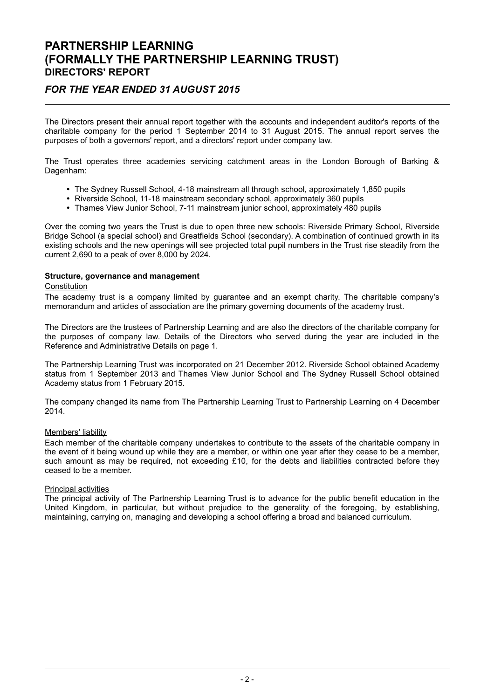### FOR THE YEAR ENDED 31 AUGUST 2015

The Directors present their annual report together with the accounts and independent auditor's reports of the charitable company for the period 1 September 2014 to 31 August 2015. The annual report serves the purposes of both a governors' report, and a directors' report under company law.

The Trust operates three academies servicing catchment areas in the London Borough of Barking & Dagenham:

- The Sydney Russell School, 4-18 mainstream all through school, approximately 1,850 pupils
- Riverside School, 11-18 mainstream secondary school, approximately 360 pupils
- Thames View Junior School, 7-11 mainstream junior school, approximately 480 pupils

Over the coming two years the Trust is due to open three new schools: Riverside Primary School, Riverside Bridge School (a special school) and Greatfields School (secondary). A combination of continued growth in its existing schools and the new openings will see projected total pupil numbers in the Trust rise steadily from the current 2,690 to a peak of over 8,000 by 2024.

#### Structure, governance and management

#### **Constitution**

The academy trust is a company limited by guarantee and an exempt charity. The charitable company's memorandum and articles of association are the primary governing documents of the academy trust.

The Directors are the trustees of Partnership Learning and are also the directors of the charitable company for the purposes of company law. Details of the Directors who served during the year are included in the Reference and Administrative Details on page 1.

The Partnership Learning Trust was incorporated on 21 December 2012. Riverside School obtained Academy status from 1 September 2013 and Thames View Junior School and The Sydney Russell School obtained Academy status from 1 February 2015.

The company changed its name from The Partnership Learning Trust to Partnership Learning on 4 December 2014.

#### Members' liability

Each member of the charitable company undertakes to contribute to the assets of the charitable company in the event of it being wound up while they are a member, or within one year after they cease to be a member, such amount as may be required, not exceeding £10, for the debts and liabilities contracted before they ceased to be a member.

#### Principal activities

The principal activity of The Partnership Learning Trust is to advance for the public benefit education in the United Kingdom, in particular, but without prejudice to the generality of the foregoing, by establishing, maintaining, carrying on, managing and developing a school offering a broad and balanced curriculum.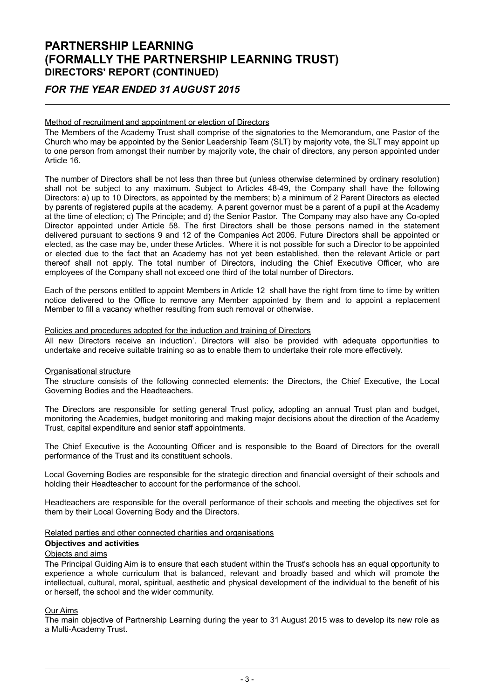### FOR THE YEAR ENDED 31 AUGUST 2015

#### Method of recruitment and appointment or election of Directors

The Members of the Academy Trust shall comprise of the signatories to the Memorandum, one Pastor of the Church who may be appointed by the Senior Leadership Team (SLT) by majority vote, the SLT may appoint up to one person from amongst their number by majority vote, the chair of directors, any person appointed under Article 16.

The number of Directors shall be not less than three but (unless otherwise determined by ordinary resolution) shall not be subject to any maximum. Subject to Articles 48-49, the Company shall have the following Directors: a) up to 10 Directors, as appointed by the members; b) a minimum of 2 Parent Directors as elected by parents of registered pupils at the academy. A parent governor must be a parent of a pupil at the Academy at the time of election; c) The Principle; and d) the Senior Pastor. The Company may also have any Co-opted Director appointed under Article 58. The first Directors shall be those persons named in the statement delivered pursuant to sections 9 and 12 of the Companies Act 2006. Future Directors shall be appointed or elected, as the case may be, under these Articles. Where it is not possible for such a Director to be appointed or elected due to the fact that an Academy has not yet been established, then the relevant Article or part thereof shall not apply. The total number of Directors, including the Chief Executive Officer, who are employees of the Company shall not exceed one third of the total number of Directors.

Each of the persons entitled to appoint Members in Article 12 shall have the right from time to time by written notice delivered to the Office to remove any Member appointed by them and to appoint a replacement Member to fill a vacancy whether resulting from such removal or otherwise.

#### Policies and procedures adopted for the induction and training of Directors

All new Directors receive an induction'. Directors will also be provided with adequate opportunities to undertake and receive suitable training so as to enable them to undertake their role more effectively.

#### Organisational structure

The structure consists of the following connected elements: the Directors, the Chief Executive, the Local Governing Bodies and the Headteachers.

The Directors are responsible for setting general Trust policy, adopting an annual Trust plan and budget, monitoring the Academies, budget monitoring and making major decisions about the direction of the Academy Trust, capital expenditure and senior staff appointments.

The Chief Executive is the Accounting Officer and is responsible to the Board of Directors for the overall performance of the Trust and its constituent schools.

Local Governing Bodies are responsible for the strategic direction and financial oversight of their schools and holding their Headteacher to account for the performance of the school.

Headteachers are responsible for the overall performance of their schools and meeting the objectives set for them by their Local Governing Body and the Directors.

#### Related parties and other connected charities and organisations

#### Objectives and activities

#### Objects and aims

The Principal Guiding Aim is to ensure that each student within the Trust's schools has an equal opportunity to experience a whole curriculum that is balanced, relevant and broadly based and which will promote the intellectual, cultural, moral, spiritual, aesthetic and physical development of the individual to the benefit of his or herself, the school and the wider community.

#### Our Aims

The main objective of Partnership Learning during the year to 31 August 2015 was to develop its new role as a Multi-Academy Trust.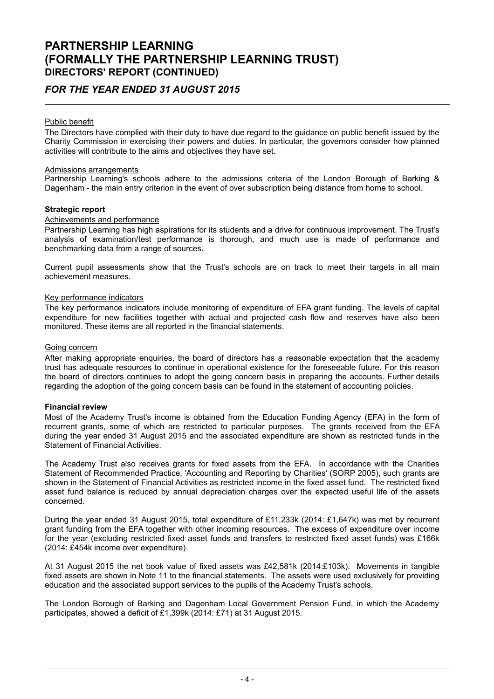### FOR THE YEAR ENDED 31 AUGUST 2015

#### Public benefit

The Directors have complied with their duty to have due regard to the guidance on public benefit issued by the Charity Commission in exercising their powers and duties. In particular, the governors consider how planned activities will contribute to the aims and objectives they have set.

#### Admissions arrangements

Partnership Learning's schools adhere to the admissions criteria of the London Borough of Barking & Dagenham - the main entry criterion in the event of over subscription being distance from home to school.

#### Strategic report

#### Achievements and performance

Partnership Learning has high aspirations for its students and a drive for continuous improvement. The Trust's analysis of examination/test performance is thorough, and much use is made of performance and benchmarking data from a range of sources.

Current pupil assessments show that the Trust's schools are on track to meet their targets in all main achievement measures.

#### Key performance indicators

The key performance indicators include monitoring of expenditure of EFA grant funding. The levels of capital expenditure for new facilities together with actual and projected cash flow and reserves have also been monitored. These items are all reported in the financial statements.

#### Going concern

After making appropriate enquiries, the board of directors has a reasonable expectation that the academy trust has adequate resources to continue in operational existence for the foreseeable future. For this reason the board of directors continues to adopt the going concern basis in preparing the accounts. Further details regarding the adoption of the going concern basis can be found in the statement of accounting policies.

#### Financial review

Most of the Academy Trust's income is obtained from the Education Funding Agency (EFA) in the form of recurrent grants, some of which are restricted to particular purposes. The grants received from the EFA during the year ended 31 August 2015 and the associated expenditure are shown as restricted funds in the Statement of Financial Activities.

The Academy Trust also receives grants for fixed assets from the EFA. In accordance with the Charities Statement of Recommended Practice, 'Accounting and Reporting by Charities' (SORP 2005), such grants are shown in the Statement of Financial Activities as restricted income in the fixed asset fund. The restricted fixed asset fund balance is reduced by annual depreciation charges over the expected useful life of the assets concerned.

During the year ended 31 August 2015, total expenditure of £11,233k (2014: £1,647k) was met by recurrent grant funding from the EFA together with other incoming resources. The excess of expenditure over income for the year (excluding restricted fixed asset funds and transfers to restricted fixed asset funds) was £166k (2014: £454k income over expenditure).

At 31 August 2015 the net book value of fixed assets was £42,581k (2014:£103k). Movements in tangible fixed assets are shown in Note 11 to the financial statements. The assets were used exclusively for providing education and the associated support services to the pupils of the Academy Trust's schools.

The London Borough of Barking and Dagenham Local Government Pension Fund, in which the Academy participates, showed a deficit of £1,399k (2014: £71) at 31 August 2015.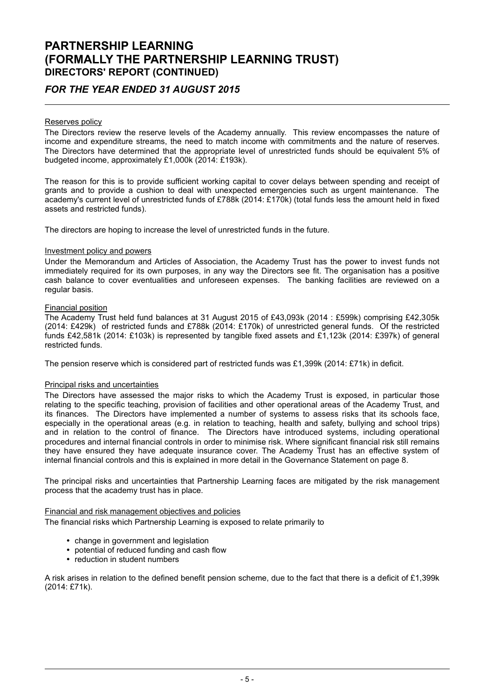### FOR THE YEAR ENDED 31 AUGUST 2015

#### Reserves policy

The Directors review the reserve levels of the Academy annually. This review encompasses the nature of income and expenditure streams, the need to match income with commitments and the nature of reserves. The Directors have determined that the appropriate level of unrestricted funds should be equivalent 5% of budgeted income, approximately £1,000k (2014: £193k).

The reason for this is to provide sufficient working capital to cover delays between spending and receipt of grants and to provide a cushion to deal with unexpected emergencies such as urgent maintenance. The academy's current level of unrestricted funds of £788k (2014: £170k) (total funds less the amount held in fixed assets and restricted funds).

The directors are hoping to increase the level of unrestricted funds in the future.

#### Investment policy and powers

Under the Memorandum and Articles of Association, the Academy Trust has the power to invest funds not immediately required for its own purposes, in any way the Directors see fit. The organisation has a positive cash balance to cover eventualities and unforeseen expenses. The banking facilities are reviewed on a regular basis.

#### Financial position

The Academy Trust held fund balances at 31 August 2015 of £43,093k (2014 : £599k) comprising £42,305k (2014: £429k) of restricted funds and £788k (2014: £170k) of unrestricted general funds. Of the restricted funds £42,581k (2014: £103k) is represented by tangible fixed assets and £1,123k (2014: £397k) of general restricted funds.

The pension reserve which is considered part of restricted funds was £1,399k (2014: £71k) in deficit.

#### Principal risks and uncertainties

The Directors have assessed the major risks to which the Academy Trust is exposed, in particular those relating to the specific teaching, provision of facilities and other operational areas of the Academy Trust, and its finances. The Directors have implemented a number of systems to assess risks that its schools face, especially in the operational areas (e.g. in relation to teaching, health and safety, bullying and school trips) and in relation to the control of finance. The Directors have introduced systems, including operational procedures and internal financial controls in order to minimise risk. Where significant financial risk still remains they have ensured they have adequate insurance cover. The Academy Trust has an effective system of internal financial controls and this is explained in more detail in the Governance Statement on page 8.

The principal risks and uncertainties that Partnership Learning faces are mitigated by the risk management process that the academy trust has in place.

#### Financial and risk management objectives and policies

The financial risks which Partnership Learning is exposed to relate primarily to

- change in government and legislation
- potential of reduced funding and cash flow
- reduction in student numbers

A risk arises in relation to the defined benefit pension scheme, due to the fact that there is a deficit of £1,399k (2014: £71k).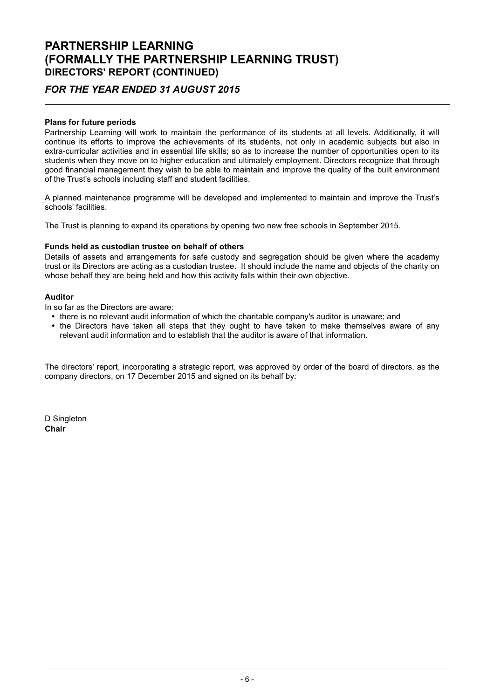### FOR THE YEAR ENDED 31 AUGUST 2015

#### Plans for future periods

Partnership Learning will work to maintain the performance of its students at all levels. Additionally, it will continue its efforts to improve the achievements of its students, not only in academic subjects but also in extra-curricular activities and in essential life skills; so as to increase the number of opportunities open to its students when they move on to higher education and ultimately employment. Directors recognize that through good financial management they wish to be able to maintain and improve the quality of the built environment of the Trust's schools including staff and student facilities.

A planned maintenance programme will be developed and implemented to maintain and improve the Trust's schools' facilities.

The Trust is planning to expand its operations by opening two new free schools in September 2015.

#### Funds held as custodian trustee on behalf of others

Details of assets and arrangements for safe custody and segregation should be given where the academy trust or its Directors are acting as a custodian trustee. It should include the name and objects of the charity on whose behalf they are being held and how this activity falls within their own objective.

#### Auditor

In so far as the Directors are aware:

- there is no relevant audit information of which the charitable company's auditor is unaware; and
- the Directors have taken all steps that they ought to have taken to make themselves aware of any relevant audit information and to establish that the auditor is aware of that information.

The directors' report, incorporating a strategic report, was approved by order of the board of directors, as the company directors, on 17 December 2015 and signed on its behalf by:

D Singleton Chair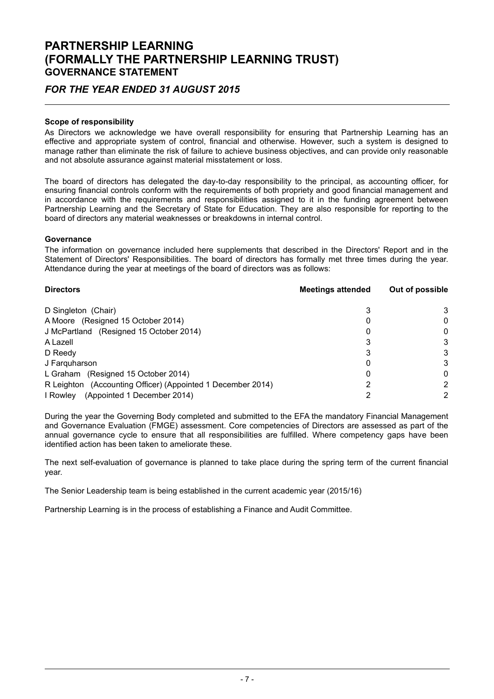### PARTNERSHIP LEARNING (FORMALLY THE PARTNERSHIP LEARNING TRUST) GOVERNANCE STATEMENT

### FOR THE YEAR ENDED 31 AUGUST 2015

#### Scope of responsibility

As Directors we acknowledge we have overall responsibility for ensuring that Partnership Learning has an effective and appropriate system of control, financial and otherwise. However, such a system is designed to manage rather than eliminate the risk of failure to achieve business objectives, and can provide only reasonable and not absolute assurance against material misstatement or loss.

The board of directors has delegated the day-to-day responsibility to the principal, as accounting officer, for ensuring financial controls conform with the requirements of both propriety and good financial management and in accordance with the requirements and responsibilities assigned to it in the funding agreement between Partnership Learning and the Secretary of State for Education. They are also responsible for reporting to the board of directors any material weaknesses or breakdowns in internal control.

#### Governance

The information on governance included here supplements that described in the Directors' Report and in the Statement of Directors' Responsibilities. The board of directors has formally met three times during the year. Attendance during the year at meetings of the board of directors was as follows:

| <b>Directors</b>                                            | <b>Meetings attended</b> | Out of possible |
|-------------------------------------------------------------|--------------------------|-----------------|
| D Singleton (Chair)                                         |                          | 3               |
| A Moore (Resigned 15 October 2014)                          |                          | 0               |
| J McPartland (Resigned 15 October 2014)                     |                          | 0               |
| A Lazell                                                    |                          | 3               |
| D Reedy                                                     |                          | 3               |
| J Farguharson                                               | O                        | 3               |
| L Graham (Resigned 15 October 2014)                         |                          | 0               |
| R Leighton (Accounting Officer) (Appointed 1 December 2014) |                          | 2               |
| (Appointed 1 December 2014)<br>I Rowley                     |                          | 2               |

During the year the Governing Body completed and submitted to the EFA the mandatory Financial Management and Governance Evaluation (FMGE) assessment. Core competencies of Directors are assessed as part of the annual governance cycle to ensure that all responsibilities are fulfilled. Where competency gaps have been identified action has been taken to ameliorate these.

The next self-evaluation of governance is planned to take place during the spring term of the current financial year.

The Senior Leadership team is being established in the current academic year (2015/16)

Partnership Learning is in the process of establishing a Finance and Audit Committee.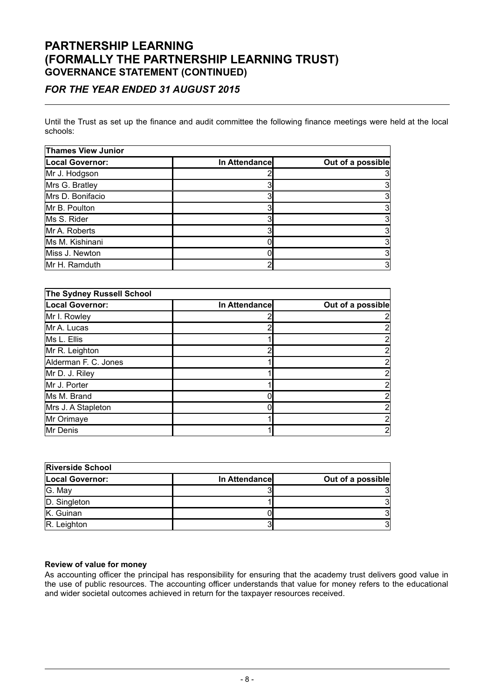### PARTNERSHIP LEARNING (FORMALLY THE PARTNERSHIP LEARNING TRUST) GOVERNANCE STATEMENT (CONTINUED)

### FOR THE YEAR ENDED 31 AUGUST 2015

Until the Trust as set up the finance and audit committee the following finance meetings were held at the local schools:

| <b>Thames View Junior</b> |               |                   |  |  |
|---------------------------|---------------|-------------------|--|--|
| <b>Local Governor:</b>    | In Attendance | Out of a possible |  |  |
| Mr J. Hodgson             |               |                   |  |  |
| Mrs G. Bratley            |               |                   |  |  |
| Mrs D. Bonifacio          |               |                   |  |  |
| Mr B. Poulton             |               |                   |  |  |
| Ms S. Rider               |               |                   |  |  |
| Mr A. Roberts             |               |                   |  |  |
| Ms M. Kishinani           |               |                   |  |  |
| Miss J. Newton            |               |                   |  |  |
| Mr H. Ramduth             |               |                   |  |  |

| The Sydney Russell School |               |                   |  |  |
|---------------------------|---------------|-------------------|--|--|
| <b>Local Governor:</b>    | In Attendance | Out of a possible |  |  |
| Mr I. Rowley              |               |                   |  |  |
| Mr A. Lucas               | ◠             |                   |  |  |
| Ms L. Ellis               |               |                   |  |  |
| Mr R. Leighton            | ົ             |                   |  |  |
| Alderman F. C. Jones      |               |                   |  |  |
| Mr D. J. Riley            |               |                   |  |  |
| Mr J. Porter              |               |                   |  |  |
| Ms M. Brand               |               |                   |  |  |
| Mrs J. A Stapleton        |               |                   |  |  |
| Mr Orimaye                |               |                   |  |  |
| Mr Denis                  |               | 2                 |  |  |

| <b>Riverside School</b> |                |                   |  |  |
|-------------------------|----------------|-------------------|--|--|
| <b>Local Governor:</b>  | In Attendancel | Out of a possible |  |  |
| G. May                  |                |                   |  |  |
| D. Singleton            |                |                   |  |  |
| K. Guinan               |                |                   |  |  |
| R. Leighton             |                |                   |  |  |

#### Review of value for money

As accounting officer the principal has responsibility for ensuring that the academy trust delivers good value in the use of public resources. The accounting officer understands that value for money refers to the educational and wider societal outcomes achieved in return for the taxpayer resources received.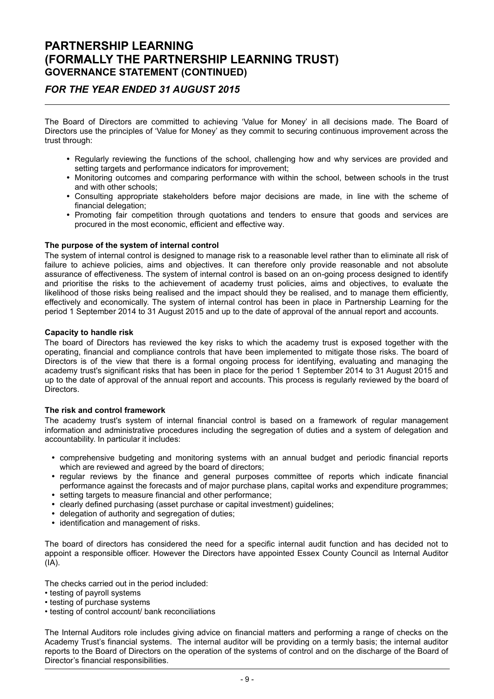### PARTNERSHIP LEARNING (FORMALLY THE PARTNERSHIP LEARNING TRUST) GOVERNANCE STATEMENT (CONTINUED)

### FOR THE YEAR ENDED 31 AUGUST 2015

The Board of Directors are committed to achieving ʻValue for Money' in all decisions made. The Board of Directors use the principles of ʻValue for Money' as they commit to securing continuous improvement across the trust through:

- Regularly reviewing the functions of the school, challenging how and why services are provided and setting targets and performance indicators for improvement:
- Monitoring outcomes and comparing performance with within the school, between schools in the trust and with other schools;
- Consulting appropriate stakeholders before major decisions are made, in line with the scheme of financial delegation;
- Promoting fair competition through quotations and tenders to ensure that goods and services are procured in the most economic, efficient and effective way.

#### The purpose of the system of internal control

The system of internal control is designed to manage risk to a reasonable level rather than to eliminate all risk of failure to achieve policies, aims and objectives. It can therefore only provide reasonable and not absolute assurance of effectiveness. The system of internal control is based on an on-going process designed to identify and prioritise the risks to the achievement of academy trust policies, aims and objectives, to evaluate the likelihood of those risks being realised and the impact should they be realised, and to manage them efficiently, effectively and economically. The system of internal control has been in place in Partnership Learning for the period 1 September 2014 to 31 August 2015 and up to the date of approval of the annual report and accounts.

#### Capacity to handle risk

The board of Directors has reviewed the key risks to which the academy trust is exposed together with the operating, financial and compliance controls that have been implemented to mitigate those risks. The board of Directors is of the view that there is a formal ongoing process for identifying, evaluating and managing the academy trust's significant risks that has been in place for the period 1 September 2014 to 31 August 2015 and up to the date of approval of the annual report and accounts. This process is regularly reviewed by the board of **Directors** 

#### The risk and control framework

The academy trust's system of internal financial control is based on a framework of regular management information and administrative procedures including the segregation of duties and a system of delegation and accountability. In particular it includes:

- comprehensive budgeting and monitoring systems with an annual budget and periodic financial reports which are reviewed and agreed by the board of directors;
- regular reviews by the finance and general purposes committee of reports which indicate financial performance against the forecasts and of major purchase plans, capital works and expenditure programmes;
- setting targets to measure financial and other performance;
- clearly defined purchasing (asset purchase or capital investment) guidelines;
- delegation of authority and segregation of duties;
- identification and management of risks.

The board of directors has considered the need for a specific internal audit function and has decided not to appoint a responsible officer. However the Directors have appointed Essex County Council as Internal Auditor  $(IA)$ .

The checks carried out in the period included:

- testing of payroll systems
- testing of purchase systems
- testing of control account/ bank reconciliations

The Internal Auditors role includes giving advice on financial matters and performing a range of checks on the Academy Trust's financial systems. The internal auditor will be providing on a termly basis; the internal auditor reports to the Board of Directors on the operation of the systems of control and on the discharge of the Board of Director's financial responsibilities.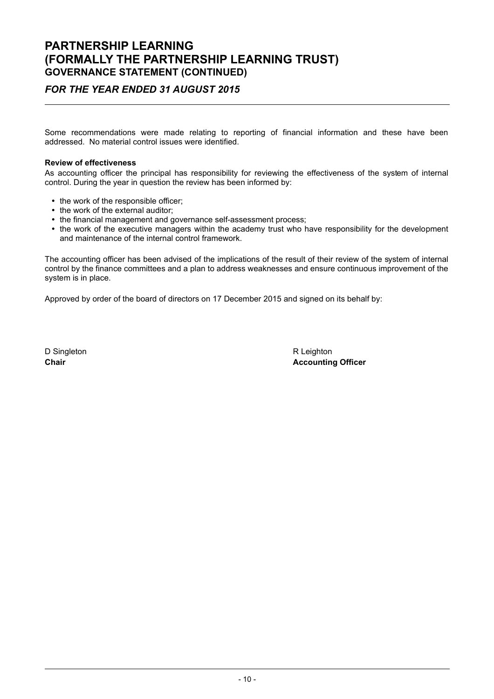### PARTNERSHIP LEARNING (FORMALLY THE PARTNERSHIP LEARNING TRUST) GOVERNANCE STATEMENT (CONTINUED)

### FOR THE YEAR ENDED 31 AUGUST 2015

Some recommendations were made relating to reporting of financial information and these have been addressed. No material control issues were identified.

#### Review of effectiveness

As accounting officer the principal has responsibility for reviewing the effectiveness of the system of internal control. During the year in question the review has been informed by:

- the work of the responsible officer;
- the work of the external auditor;
- the financial management and governance self-assessment process;
- the work of the executive managers within the academy trust who have responsibility for the development and maintenance of the internal control framework.

The accounting officer has been advised of the implications of the result of their review of the system of internal control by the finance committees and a plan to address weaknesses and ensure continuous improvement of the system is in place.

Approved by order of the board of directors on 17 December 2015 and signed on its behalf by:

D Singleton R Leighton R Leighton

Chair **Chair Chair Chair Chair Chair Chair Chair Chair Chair Chair Chair Chair Chair Chair Chair Chair Chair Chair Chair Chair Chair Chair Chair Chair Chair Chair Chair**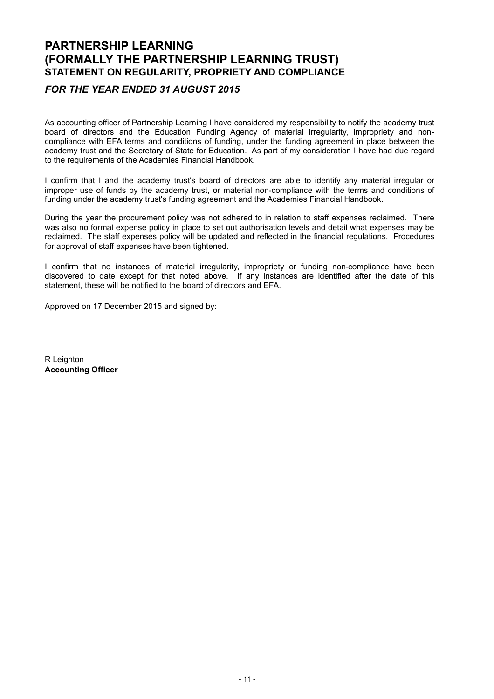### PARTNERSHIP LEARNING (FORMALLY THE PARTNERSHIP LEARNING TRUST) STATEMENT ON REGULARITY, PROPRIETY AND COMPLIANCE

### FOR THE YEAR ENDED 31 AUGUST 2015

As accounting officer of Partnership Learning I have considered my responsibility to notify the academy trust board of directors and the Education Funding Agency of material irregularity, impropriety and noncompliance with EFA terms and conditions of funding, under the funding agreement in place between the academy trust and the Secretary of State for Education. As part of my consideration I have had due regard to the requirements of the Academies Financial Handbook.

I confirm that I and the academy trust's board of directors are able to identify any material irregular or improper use of funds by the academy trust, or material non-compliance with the terms and conditions of funding under the academy trust's funding agreement and the Academies Financial Handbook.

During the year the procurement policy was not adhered to in relation to staff expenses reclaimed. There was also no formal expense policy in place to set out authorisation levels and detail what expenses may be reclaimed. The staff expenses policy will be updated and reflected in the financial regulations. Procedures for approval of staff expenses have been tightened.

I confirm that no instances of material irregularity, impropriety or funding non-compliance have been discovered to date except for that noted above. If any instances are identified after the date of this statement, these will be notified to the board of directors and EFA.

Approved on 17 December 2015 and signed by:

R Leighton Accounting Officer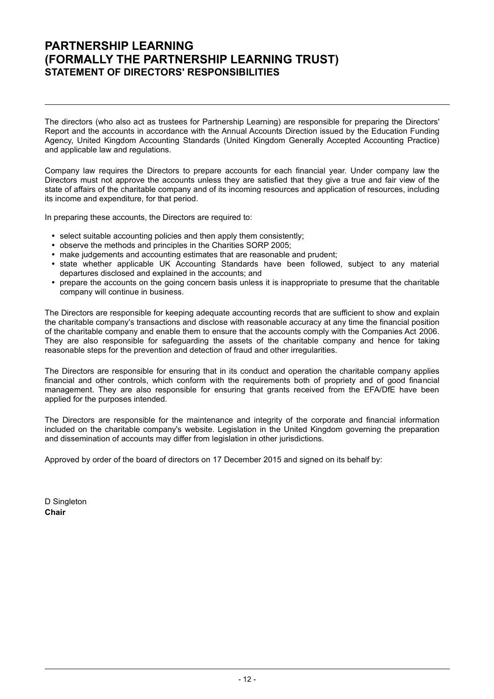### PARTNERSHIP LEARNING (FORMALLY THE PARTNERSHIP LEARNING TRUST) STATEMENT OF DIRECTORS' RESPONSIBILITIES

The directors (who also act as trustees for Partnership Learning) are responsible for preparing the Directors' Report and the accounts in accordance with the Annual Accounts Direction issued by the Education Funding Agency, United Kingdom Accounting Standards (United Kingdom Generally Accepted Accounting Practice) and applicable law and regulations.

Company law requires the Directors to prepare accounts for each financial year. Under company law the Directors must not approve the accounts unless they are satisfied that they give a true and fair view of the state of affairs of the charitable company and of its incoming resources and application of resources, including its income and expenditure, for that period.

In preparing these accounts, the Directors are required to:

- select suitable accounting policies and then apply them consistently;
- observe the methods and principles in the Charities SORP 2005;
- make judgements and accounting estimates that are reasonable and prudent;
- state whether applicable UK Accounting Standards have been followed, subject to any material departures disclosed and explained in the accounts; and
- prepare the accounts on the going concern basis unless it is inappropriate to presume that the charitable company will continue in business.

The Directors are responsible for keeping adequate accounting records that are sufficient to show and explain the charitable company's transactions and disclose with reasonable accuracy at any time the financial position of the charitable company and enable them to ensure that the accounts comply with the Companies Act 2006. They are also responsible for safeguarding the assets of the charitable company and hence for taking reasonable steps for the prevention and detection of fraud and other irregularities.

The Directors are responsible for ensuring that in its conduct and operation the charitable company applies financial and other controls, which conform with the requirements both of propriety and of good financial management. They are also responsible for ensuring that grants received from the EFA/DfE have been applied for the purposes intended.

The Directors are responsible for the maintenance and integrity of the corporate and financial information included on the charitable company's website. Legislation in the United Kingdom governing the preparation and dissemination of accounts may differ from legislation in other jurisdictions.

Approved by order of the board of directors on 17 December 2015 and signed on its behalf by:

D Singleton Chair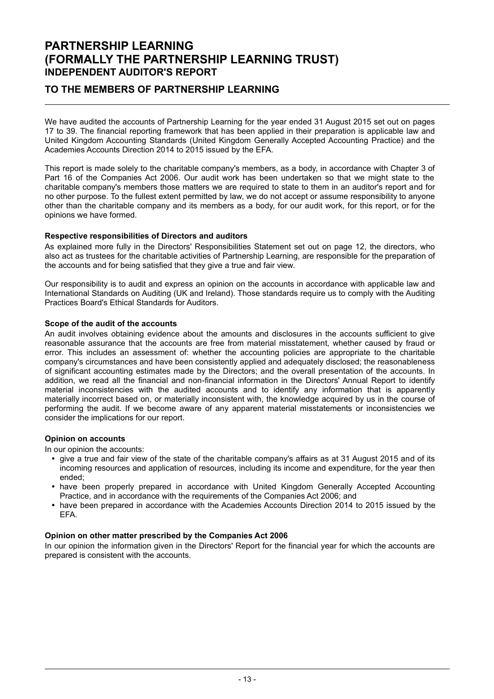### PARTNERSHIP LEARNING (FORMALLY THE PARTNERSHIP LEARNING TRUST) INDEPENDENT AUDITOR'S REPORT

### TO THE MEMBERS OF PARTNERSHIP LEARNING

We have audited the accounts of Partnership Learning for the year ended 31 August 2015 set out on pages 17 to 39. The financial reporting framework that has been applied in their preparation is applicable law and United Kingdom Accounting Standards (United Kingdom Generally Accepted Accounting Practice) and the Academies Accounts Direction 2014 to 2015 issued by the EFA.

This report is made solely to the charitable company's members, as a body, in accordance with Chapter 3 of Part 16 of the Companies Act 2006. Our audit work has been undertaken so that we might state to the charitable company's members those matters we are required to state to them in an auditor's report and for no other purpose. To the fullest extent permitted by law, we do not accept or assume responsibility to anyone other than the charitable company and its members as a body, for our audit work, for this report, or for the opinions we have formed.

#### Respective responsibilities of Directors and auditors

As explained more fully in the Directors' Responsibilities Statement set out on page 12, the directors, who also act as trustees for the charitable activities of Partnership Learning, are responsible for the preparation of the accounts and for being satisfied that they give a true and fair view.

Our responsibility is to audit and express an opinion on the accounts in accordance with applicable law and International Standards on Auditing (UK and Ireland). Those standards require us to comply with the Auditing Practices Board's Ethical Standards for Auditors.

#### Scope of the audit of the accounts

An audit involves obtaining evidence about the amounts and disclosures in the accounts sufficient to give reasonable assurance that the accounts are free from material misstatement, whether caused by fraud or error. This includes an assessment of: whether the accounting policies are appropriate to the charitable company's circumstances and have been consistently applied and adequately disclosed; the reasonableness of significant accounting estimates made by the Directors; and the overall presentation of the accounts. In addition, we read all the financial and non-financial information in the Directors' Annual Report to identify material inconsistencies with the audited accounts and to identify any information that is apparently materially incorrect based on, or materially inconsistent with, the knowledge acquired by us in the course of performing the audit. If we become aware of any apparent material misstatements or inconsistencies we consider the implications for our report.

#### Opinion on accounts

In our opinion the accounts:

- give a true and fair view of the state of the charitable company's affairs as at 31 August 2015 and of its incoming resources and application of resources, including its income and expenditure, for the year then ended;
- have been properly prepared in accordance with United Kingdom Generally Accepted Accounting Practice, and in accordance with the requirements of the Companies Act 2006; and
- have been prepared in accordance with the Academies Accounts Direction 2014 to 2015 issued by the EFA.

#### Opinion on other matter prescribed by the Companies Act 2006

In our opinion the information given in the Directors' Report for the financial year for which the accounts are prepared is consistent with the accounts.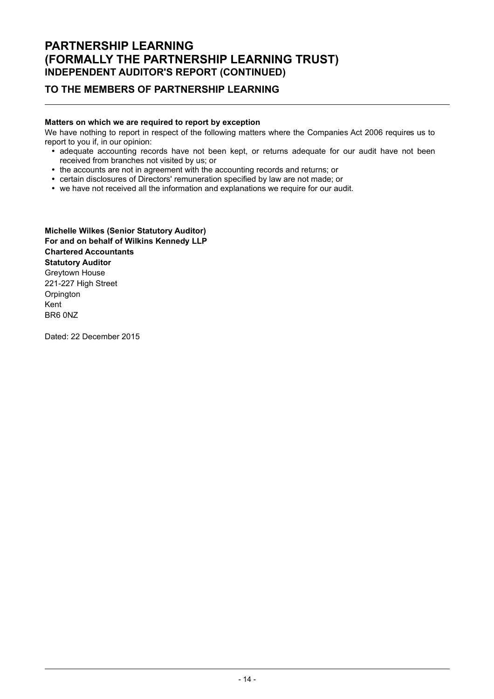### TO THE MEMBERS OF PARTNERSHIP LEARNING

#### Matters on which we are required to report by exception

We have nothing to report in respect of the following matters where the Companies Act 2006 requires us to report to you if, in our opinion:

- adequate accounting records have not been kept, or returns adequate for our audit have not been received from branches not visited by us; or
- the accounts are not in agreement with the accounting records and returns; or
- certain disclosures of Directors' remuneration specified by law are not made; or
- we have not received all the information and explanations we require for our audit.

Michelle Wilkes (Senior Statutory Auditor) For and on behalf of Wilkins Kennedy LLP Chartered Accountants Statutory Auditor Greytown House 221-227 High Street **Orpington** Kent BR6 0NZ

Dated: 22 December 2015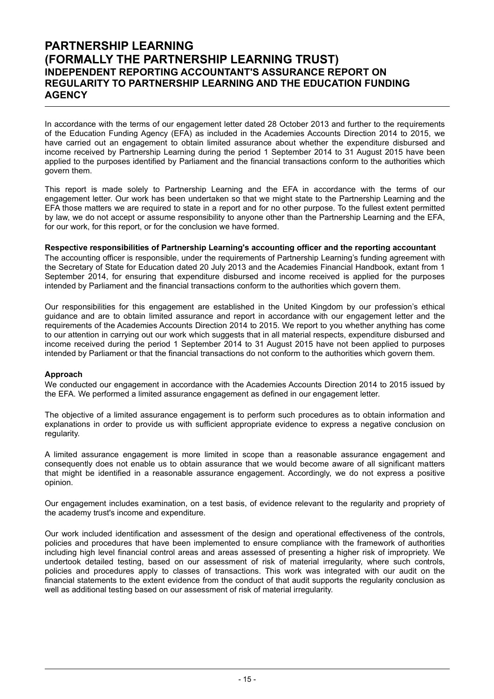### PARTNERSHIP LEARNING (FORMALLY THE PARTNERSHIP LEARNING TRUST) INDEPENDENT REPORTING ACCOUNTANT'S ASSURANCE REPORT ON REGULARITY TO PARTNERSHIP LEARNING AND THE EDUCATION FUNDING **AGENCY**

In accordance with the terms of our engagement letter dated 28 October 2013 and further to the requirements of the Education Funding Agency (EFA) as included in the Academies Accounts Direction 2014 to 2015, we have carried out an engagement to obtain limited assurance about whether the expenditure disbursed and income received by Partnership Learning during the period 1 September 2014 to 31 August 2015 have been applied to the purposes identified by Parliament and the financial transactions conform to the authorities which govern them.

This report is made solely to Partnership Learning and the EFA in accordance with the terms of our engagement letter. Our work has been undertaken so that we might state to the Partnership Learning and the EFA those matters we are required to state in a report and for no other purpose. To the fullest extent permitted by law, we do not accept or assume responsibility to anyone other than the Partnership Learning and the EFA, for our work, for this report, or for the conclusion we have formed.

#### Respective responsibilities of Partnership Learning's accounting officer and the reporting accountant

The accounting officer is responsible, under the requirements of Partnership Learning's funding agreement with the Secretary of State for Education dated 20 July 2013 and the Academies Financial Handbook, extant from 1 September 2014, for ensuring that expenditure disbursed and income received is applied for the purposes intended by Parliament and the financial transactions conform to the authorities which govern them.

Our responsibilities for this engagement are established in the United Kingdom by our profession's ethical guidance and are to obtain limited assurance and report in accordance with our engagement letter and the requirements of the Academies Accounts Direction 2014 to 2015. We report to you whether anything has come to our attention in carrying out our work which suggests that in all material respects, expenditure disbursed and income received during the period 1 September 2014 to 31 August 2015 have not been applied to purposes intended by Parliament or that the financial transactions do not conform to the authorities which govern them.

#### Approach

We conducted our engagement in accordance with the Academies Accounts Direction 2014 to 2015 issued by the EFA. We performed a limited assurance engagement as defined in our engagement letter.

The objective of a limited assurance engagement is to perform such procedures as to obtain information and explanations in order to provide us with sufficient appropriate evidence to express a negative conclusion on regularity.

A limited assurance engagement is more limited in scope than a reasonable assurance engagement and consequently does not enable us to obtain assurance that we would become aware of all significant matters that might be identified in a reasonable assurance engagement. Accordingly, we do not express a positive opinion.

Our engagement includes examination, on a test basis, of evidence relevant to the regularity and propriety of the academy trust's income and expenditure.

Our work included identification and assessment of the design and operational effectiveness of the controls, policies and procedures that have been implemented to ensure compliance with the framework of authorities including high level financial control areas and areas assessed of presenting a higher risk of impropriety. We undertook detailed testing, based on our assessment of risk of material irregularity, where such controls, policies and procedures apply to classes of transactions. This work was integrated with our audit on the financial statements to the extent evidence from the conduct of that audit supports the regularity conclusion as well as additional testing based on our assessment of risk of material irregularity.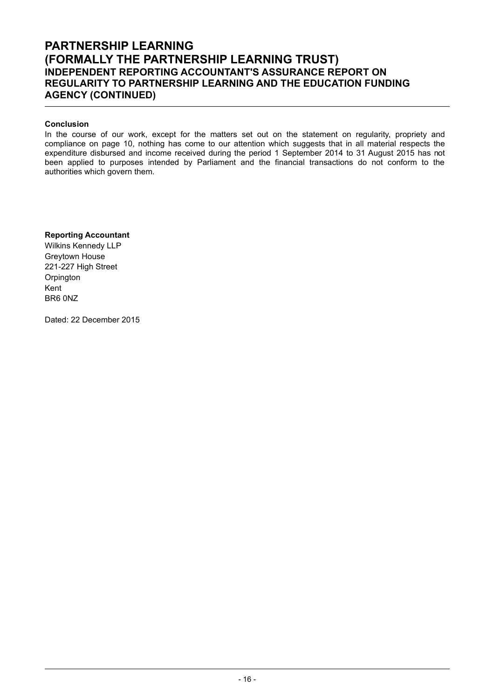### PARTNERSHIP LEARNING (FORMALLY THE PARTNERSHIP LEARNING TRUST) INDEPENDENT REPORTING ACCOUNTANT'S ASSURANCE REPORT ON REGULARITY TO PARTNERSHIP LEARNING AND THE EDUCATION FUNDING AGENCY (CONTINUED)

#### Conclusion

In the course of our work, except for the matters set out on the statement on regularity, propriety and compliance on page 10, nothing has come to our attention which suggests that in all material respects the expenditure disbursed and income received during the period 1 September 2014 to 31 August 2015 has not been applied to purposes intended by Parliament and the financial transactions do not conform to the authorities which govern them.

#### Reporting Accountant

Wilkins Kennedy LLP Greytown House 221-227 High Street **Orpington** Kent BR6 0NZ

Dated: 22 December 2015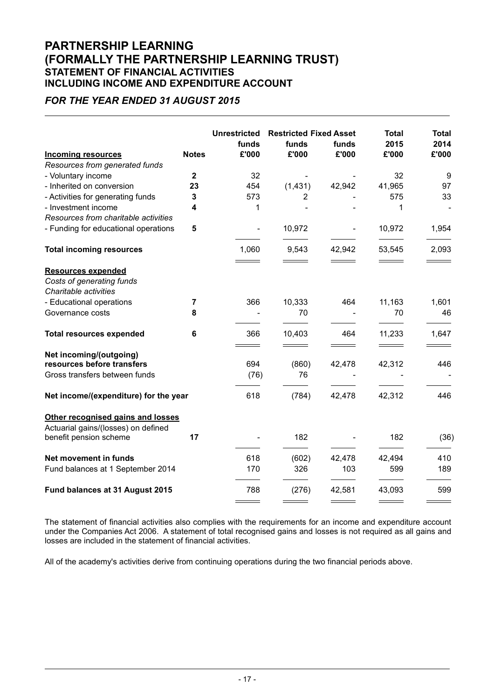### PARTNERSHIP LEARNING (FORMALLY THE PARTNERSHIP LEARNING TRUST) STATEMENT OF FINANCIAL ACTIVITIES INCLUDING INCOME AND EXPENDITURE ACCOUNT

### FOR THE YEAR ENDED 31 AUGUST 2015

|                                                                          |              | <b>Unrestricted</b>          | <b>Restricted Fixed Asset</b> |        | <b>Total</b>               | <b>Total</b>                      |
|--------------------------------------------------------------------------|--------------|------------------------------|-------------------------------|--------|----------------------------|-----------------------------------|
|                                                                          |              | funds                        | funds                         | funds  | 2015                       | 2014                              |
| <b>Incoming resources</b>                                                | <b>Notes</b> | £'000                        | £'000                         | £'000  | £'000                      | £'000                             |
| Resources from generated funds                                           |              |                              |                               |        |                            |                                   |
| - Voluntary income                                                       | $\mathbf{2}$ | 32                           |                               |        | 32                         | 9                                 |
| - Inherited on conversion                                                | 23           | 454                          | (1,431)                       | 42,942 | 41,965                     | 97                                |
| - Activities for generating funds                                        | 3            | 573                          | 2                             |        | 575                        | 33                                |
| - Investment income                                                      | 4            | 1                            |                               |        | 1                          |                                   |
| Resources from charitable activities                                     |              |                              |                               |        |                            |                                   |
| - Funding for educational operations                                     | 5            | $\overline{\phantom{a}}$     | 10,972                        |        | 10,972                     | 1,954                             |
| <b>Total incoming resources</b>                                          |              | 1,060                        | 9,543                         | 42,942 | 53,545                     | 2,093<br>$\overline{\phantom{a}}$ |
| <b>Resources expended</b>                                                |              | <u> The Common State Sta</u> | ____                          |        | $\equiv$ $\equiv$ $\equiv$ |                                   |
| Costs of generating funds                                                |              |                              |                               |        |                            |                                   |
| Charitable activities                                                    |              |                              |                               |        |                            |                                   |
| - Educational operations                                                 | 7            | 366                          | 10,333                        | 464    | 11,163                     | 1,601                             |
| Governance costs                                                         | 8            |                              | 70                            |        | 70                         | 46                                |
| <b>Total resources expended</b>                                          | 6            | 366                          | 10,403                        | 464    | 11,233                     | 1,647                             |
| Net incoming/(outgoing)                                                  |              |                              |                               |        |                            |                                   |
| resources before transfers                                               |              | 694                          | (860)                         | 42,478 | 42,312                     | 446                               |
| Gross transfers between funds                                            |              | (76)                         | 76                            |        |                            |                                   |
| Net income/(expenditure) for the year                                    |              | 618                          | (784)                         | 42,478 | 42,312                     | 446                               |
| Other recognised gains and losses<br>Actuarial gains/(losses) on defined |              |                              |                               |        |                            |                                   |
| benefit pension scheme                                                   | 17           |                              | 182                           |        | 182                        | (36)                              |
| Net movement in funds                                                    |              | 618                          | (602)                         | 42,478 | 42,494                     | 410                               |
| Fund balances at 1 September 2014                                        |              | 170                          | 326                           | 103    | 599                        | 189                               |
| Fund balances at 31 August 2015                                          |              | 788                          | (276)                         | 42,581 | 43,093                     | 599                               |
|                                                                          |              |                              |                               |        |                            |                                   |

The statement of financial activities also complies with the requirements for an income and expenditure account under the Companies Act 2006. A statement of total recognised gains and losses is not required as all gains and losses are included in the statement of financial activities.

All of the academy's activities derive from continuing operations during the two financial periods above.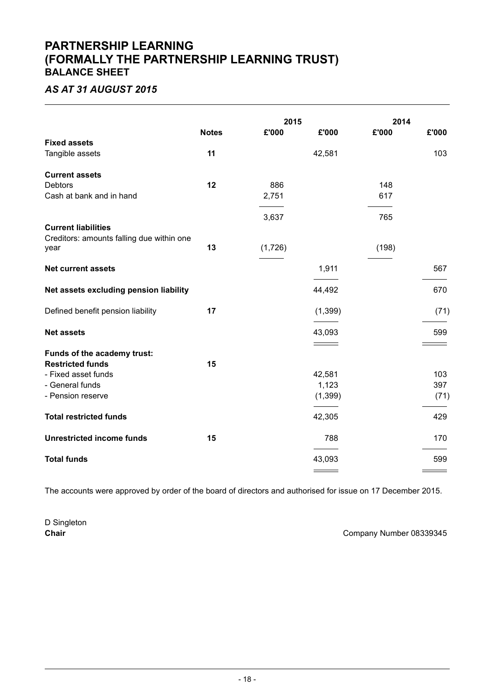### PARTNERSHIP LEARNING (FORMALLY THE PARTNERSHIP LEARNING TRUST) BALANCE SHEET

## AS AT 31 AUGUST 2015

|                                                   |              | 2015    |          | 2014  |       |
|---------------------------------------------------|--------------|---------|----------|-------|-------|
|                                                   | <b>Notes</b> | £'000   | £'000    | £'000 | £'000 |
| <b>Fixed assets</b>                               |              |         |          |       |       |
| Tangible assets                                   | 11           |         | 42,581   |       | 103   |
| <b>Current assets</b>                             |              |         |          |       |       |
| Debtors                                           | 12           | 886     |          | 148   |       |
| Cash at bank and in hand                          |              | 2,751   |          | 617   |       |
|                                                   |              | 3,637   |          | 765   |       |
| <b>Current liabilities</b>                        |              |         |          |       |       |
| Creditors: amounts falling due within one<br>year | 13           | (1,726) |          | (198) |       |
| <b>Net current assets</b>                         |              |         | 1,911    |       | 567   |
| Net assets excluding pension liability            |              |         | 44,492   |       | 670   |
| Defined benefit pension liability                 | 17           |         | (1, 399) |       | (71)  |
| <b>Net assets</b>                                 |              |         | 43,093   |       | 599   |
|                                                   |              |         |          |       |       |
| Funds of the academy trust:                       |              |         |          |       |       |
| <b>Restricted funds</b><br>- Fixed asset funds    | 15           |         | 42,581   |       | 103   |
| - General funds                                   |              |         | 1,123    |       | 397   |
| - Pension reserve                                 |              |         | (1, 399) |       | (71)  |
| <b>Total restricted funds</b>                     |              |         | 42,305   |       | 429   |
| <b>Unrestricted income funds</b>                  | 15           |         | 788      |       | 170   |
| <b>Total funds</b>                                |              |         | 43,093   |       | 599   |
|                                                   |              |         |          |       |       |

The accounts were approved by order of the board of directors and authorised for issue on 17 December 2015.

D Singleton

Chair Chair Chair Chair Chair Company Number 08339345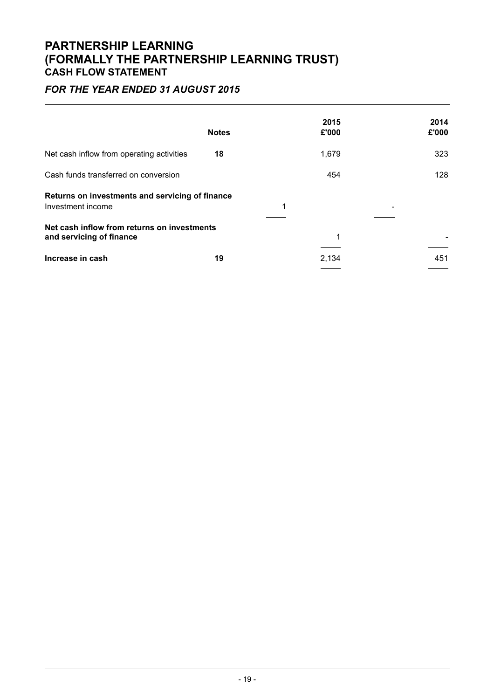### PARTNERSHIP LEARNING (FORMALLY THE PARTNERSHIP LEARNING TRUST) CASH FLOW STATEMENT

## FOR THE YEAR ENDED 31 AUGUST 2015

|                                                                         | <b>Notes</b> | 2015<br>£'000 | 2014<br>£'000 |
|-------------------------------------------------------------------------|--------------|---------------|---------------|
| Net cash inflow from operating activities                               | 18           | 1,679         | 323           |
| Cash funds transferred on conversion                                    |              | 454           | 128           |
| Returns on investments and servicing of finance<br>Investment income    |              | 1             |               |
| Net cash inflow from returns on investments<br>and servicing of finance |              | 1             |               |
| Increase in cash                                                        | 19           | 2,134         | 451           |
|                                                                         |              |               |               |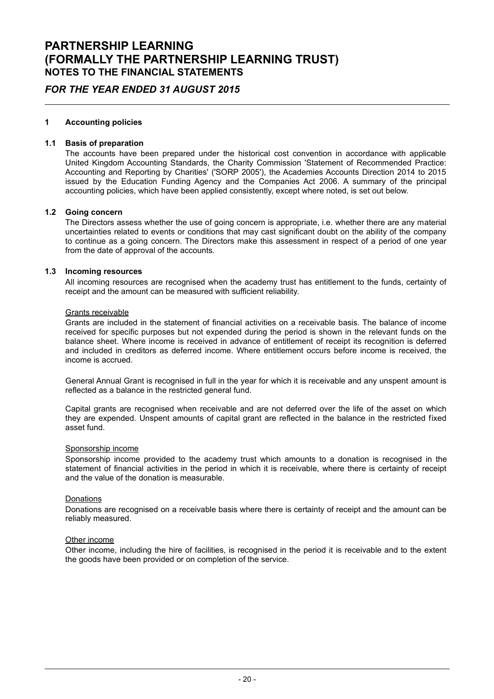### FOR THE YEAR ENDED 31 AUGUST 2015

#### 1 Accounting policies

#### 1.1 Basis of preparation

The accounts have been prepared under the historical cost convention in accordance with applicable United Kingdom Accounting Standards, the Charity Commission 'Statement of Recommended Practice: Accounting and Reporting by Charities' ('SORP 2005'), the Academies Accounts Direction 2014 to 2015 issued by the Education Funding Agency and the Companies Act 2006. A summary of the principal accounting policies, which have been applied consistently, except where noted, is set out below.

#### 1.2 Going concern

The Directors assess whether the use of going concern is appropriate, i.e. whether there are any material uncertainties related to events or conditions that may cast significant doubt on the ability of the company to continue as a going concern. The Directors make this assessment in respect of a period of one year from the date of approval of the accounts.

#### 1.3 Incoming resources

All incoming resources are recognised when the academy trust has entitlement to the funds, certainty of receipt and the amount can be measured with sufficient reliability.

#### Grants receivable

Grants are included in the statement of financial activities on a receivable basis. The balance of income received for specific purposes but not expended during the period is shown in the relevant funds on the balance sheet. Where income is received in advance of entitlement of receipt its recognition is deferred and included in creditors as deferred income. Where entitlement occurs before income is received, the income is accrued.

General Annual Grant is recognised in full in the year for which it is receivable and any unspent amount is reflected as a balance in the restricted general fund.

Capital grants are recognised when receivable and are not deferred over the life of the asset on which they are expended. Unspent amounts of capital grant are reflected in the balance in the restricted fixed asset fund.

#### Sponsorship income

Sponsorship income provided to the academy trust which amounts to a donation is recognised in the statement of financial activities in the period in which it is receivable, where there is certainty of receipt and the value of the donation is measurable.

#### Donations

Donations are recognised on a receivable basis where there is certainty of receipt and the amount can be reliably measured.

#### Other income

Other income, including the hire of facilities, is recognised in the period it is receivable and to the extent the goods have been provided or on completion of the service.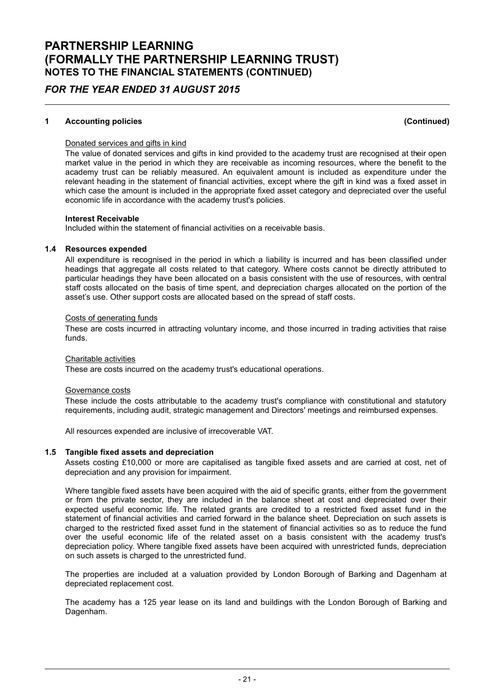### FOR THE YEAR ENDED 31 AUGUST 2015

#### 1 Accounting policies (Continued)

#### Donated services and gifts in kind

The value of donated services and gifts in kind provided to the academy trust are recognised at their open market value in the period in which they are receivable as incoming resources, where the benefit to the academy trust can be reliably measured. An equivalent amount is included as expenditure under the relevant heading in the statement of financial activities, except where the gift in kind was a fixed asset in which case the amount is included in the appropriate fixed asset category and depreciated over the useful economic life in accordance with the academy trust's policies.

#### Interest Receivable

Included within the statement of financial activities on a receivable basis.

#### 1.4 Resources expended

All expenditure is recognised in the period in which a liability is incurred and has been classified under headings that aggregate all costs related to that category. Where costs cannot be directly attributed to particular headings they have been allocated on a basis consistent with the use of resources, with central staff costs allocated on the basis of time spent, and depreciation charges allocated on the portion of the asset's use. Other support costs are allocated based on the spread of staff costs.

#### Costs of generating funds

These are costs incurred in attracting voluntary income, and those incurred in trading activities that raise funds.

#### Charitable activities

These are costs incurred on the academy trust's educational operations.

#### Governance costs

These include the costs attributable to the academy trust's compliance with constitutional and statutory requirements, including audit, strategic management and Directors' meetings and reimbursed expenses.

All resources expended are inclusive of irrecoverable VAT.

#### 1.5 Tangible fixed assets and depreciation

Assets costing £10,000 or more are capitalised as tangible fixed assets and are carried at cost, net of depreciation and any provision for impairment.

Where tangible fixed assets have been acquired with the aid of specific grants, either from the government or from the private sector, they are included in the balance sheet at cost and depreciated over their expected useful economic life. The related grants are credited to a restricted fixed asset fund in the statement of financial activities and carried forward in the balance sheet. Depreciation on such assets is charged to the restricted fixed asset fund in the statement of financial activities so as to reduce the fund over the useful economic life of the related asset on a basis consistent with the academy trust's depreciation policy. Where tangible fixed assets have been acquired with unrestricted funds, depreciation on such assets is charged to the unrestricted fund.

The properties are included at a valuation provided by London Borough of Barking and Dagenham at depreciated replacement cost.

The academy has a 125 year lease on its land and buildings with the London Borough of Barking and Dagenham.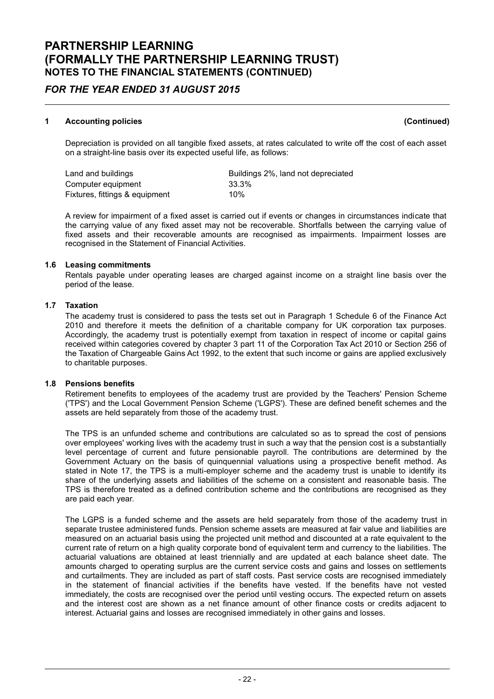### FOR THE YEAR ENDED 31 AUGUST 2015

#### 1 Accounting policies (Continued)

Depreciation is provided on all tangible fixed assets, at rates calculated to write off the cost of each asset on a straight-line basis over its expected useful life, as follows:

Land and buildings extending buildings 2%, land not depreciated Computer equipment 33.3% Fixtures, fittings & equipment 10%

A review for impairment of a fixed asset is carried out if events or changes in circumstances indicate that the carrying value of any fixed asset may not be recoverable. Shortfalls between the carrying value of fixed assets and their recoverable amounts are recognised as impairments. Impairment losses are recognised in the Statement of Financial Activities.

#### 1.6 Leasing commitments

Rentals payable under operating leases are charged against income on a straight line basis over the period of the lease.

#### 1.7 Taxation

The academy trust is considered to pass the tests set out in Paragraph 1 Schedule 6 of the Finance Act 2010 and therefore it meets the definition of a charitable company for UK corporation tax purposes. Accordingly, the academy trust is potentially exempt from taxation in respect of income or capital gains received within categories covered by chapter 3 part 11 of the Corporation Tax Act 2010 or Section 256 of the Taxation of Chargeable Gains Act 1992, to the extent that such income or gains are applied exclusively to charitable purposes.

### 1.8 Pensions benefits

Retirement benefits to employees of the academy trust are provided by the Teachers' Pension Scheme ('TPS') and the Local Government Pension Scheme ('LGPS'). These are defined benefit schemes and the assets are held separately from those of the academy trust.

The TPS is an unfunded scheme and contributions are calculated so as to spread the cost of pensions over employees' working lives with the academy trust in such a way that the pension cost is a substantially level percentage of current and future pensionable payroll. The contributions are determined by the Government Actuary on the basis of quinquennial valuations using a prospective benefit method. As stated in Note 17, the TPS is a multi-employer scheme and the academy trust is unable to identify its share of the underlying assets and liabilities of the scheme on a consistent and reasonable basis. The TPS is therefore treated as a defined contribution scheme and the contributions are recognised as they are paid each year.

The LGPS is a funded scheme and the assets are held separately from those of the academy trust in separate trustee administered funds. Pension scheme assets are measured at fair value and liabilities are measured on an actuarial basis using the projected unit method and discounted at a rate equivalent to the current rate of return on a high quality corporate bond of equivalent term and currency to the liabilities. The actuarial valuations are obtained at least triennially and are updated at each balance sheet date. The amounts charged to operating surplus are the current service costs and gains and losses on settlements and curtailments. They are included as part of staff costs. Past service costs are recognised immediately in the statement of financial activities if the benefits have vested. If the benefits have not vested immediately, the costs are recognised over the period until vesting occurs. The expected return on assets and the interest cost are shown as a net finance amount of other finance costs or credits adjacent to interest. Actuarial gains and losses are recognised immediately in other gains and losses.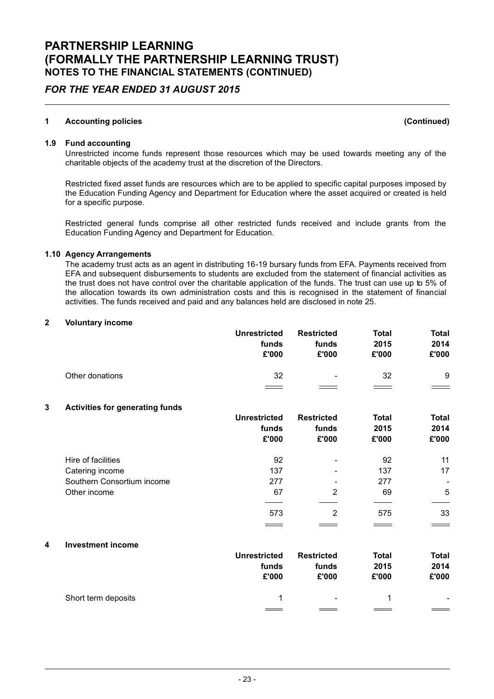### FOR THE YEAR ENDED 31 AUGUST 2015

#### 1 Accounting policies (Continued)

#### 1.9 Fund accounting

Unrestricted income funds represent those resources which may be used towards meeting any of the charitable objects of the academy trust at the discretion of the Directors.

Restricted fixed asset funds are resources which are to be applied to specific capital purposes imposed by the Education Funding Agency and Department for Education where the asset acquired or created is held for a specific purpose.

Restricted general funds comprise all other restricted funds received and include grants from the Education Funding Agency and Department for Education.

#### 1.10 Agency Arrangements

The academy trust acts as an agent in distributing 16-19 bursary funds from EFA. Payments received from EFA and subsequent disbursements to students are excluded from the statement of financial activities as the trust does not have control over the charitable application of the funds. The trust can use up to 5% of the allocation towards its own administration costs and this is recognised in the statement of financial activities. The funds received and paid and any balances held are disclosed in note 25.

#### 2 Voluntary income

|   |                                        | <b>Unrestricted</b><br>funds<br>£'000 | <b>Restricted</b><br>funds<br>£'000 | Total<br>2015<br>£'000 | <b>Total</b><br>2014<br>£'000 |
|---|----------------------------------------|---------------------------------------|-------------------------------------|------------------------|-------------------------------|
|   | Other donations                        | 32                                    |                                     | 32                     | 9                             |
| 3 | <b>Activities for generating funds</b> |                                       |                                     |                        |                               |
|   |                                        | <b>Unrestricted</b>                   | <b>Restricted</b>                   | <b>Total</b>           | <b>Total</b>                  |
|   |                                        | funds                                 | funds                               | 2015                   | 2014                          |
|   |                                        | £'000                                 | £'000                               | £'000                  | £'000                         |
|   | Hire of facilities                     | 92                                    |                                     | 92                     | 11                            |
|   | Catering income                        | 137                                   |                                     | 137                    | 17                            |
|   | Southern Consortium income             | 277                                   |                                     | 277                    |                               |
|   | Other income                           | 67                                    | $\overline{2}$                      | 69                     | 5                             |
|   |                                        | 573                                   | $\overline{2}$                      | 575                    | 33                            |
|   |                                        |                                       |                                     |                        |                               |
| 4 | <b>Investment income</b>               |                                       |                                     |                        |                               |
|   |                                        | <b>Unrestricted</b>                   | <b>Restricted</b>                   | <b>Total</b>           | <b>Total</b>                  |

|                     | <b>Unrestricted</b> | Restricted | Total | Total  |
|---------------------|---------------------|------------|-------|--------|
|                     | funds               | funds      | 2015  | 2014   |
|                     | £'000               | £'000      | £'000 | £'000  |
| Short term deposits |                     | $\sim$     |       | $\sim$ |
|                     |                     |            |       |        |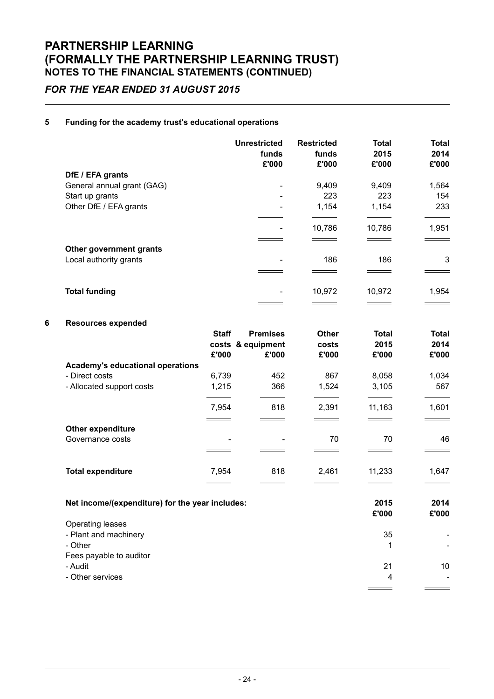### FOR THE YEAR ENDED 31 AUGUST 2015

#### 5 Funding for the academy trust's educational operations

|                            | <b>Unrestricted</b><br>funds<br>£'000 | <b>Restricted</b><br>funds<br>£'000 | <b>Total</b><br>2015<br>£'000 | <b>Total</b><br>2014<br>£'000 |
|----------------------------|---------------------------------------|-------------------------------------|-------------------------------|-------------------------------|
| DfE / EFA grants           |                                       |                                     |                               |                               |
| General annual grant (GAG) |                                       | 9,409                               | 9,409                         | 1,564                         |
| Start up grants            | -                                     | 223                                 | 223                           | 154                           |
| Other DfE / EFA grants     |                                       | 1,154                               | 1,154                         | 233                           |
|                            | -                                     | 10,786                              | 10,786                        | 1,951                         |
|                            |                                       |                                     |                               |                               |
| Other government grants    |                                       |                                     |                               |                               |
| Local authority grants     |                                       | 186                                 | 186                           | 3                             |
|                            |                                       |                                     |                               |                               |
| <b>Total funding</b>       |                                       | 10,972                              | 10,972                        | 1,954                         |
|                            |                                       |                                     |                               |                               |

### 6 Resources expended

|                                                 | <b>Staff</b> | <b>Premises</b>   | <b>Other</b> | Total  | <b>Total</b> |
|-------------------------------------------------|--------------|-------------------|--------------|--------|--------------|
|                                                 |              | costs & equipment | costs        | 2015   | 2014         |
|                                                 | £'000        | £'000             | £'000        | £'000  | £'000        |
| Academy's educational operations                |              |                   |              |        |              |
| - Direct costs                                  | 6,739        | 452               | 867          | 8,058  | 1,034        |
| - Allocated support costs                       | 1,215        | 366               | 1,524        | 3,105  | 567          |
|                                                 | 7,954        | 818               | 2,391        | 11,163 | 1,601        |
|                                                 |              |                   |              |        |              |
| <b>Other expenditure</b>                        |              |                   |              |        |              |
| Governance costs                                |              |                   | 70           | 70     | 46           |
|                                                 |              |                   |              |        |              |
| <b>Total expenditure</b>                        | 7,954        | 818               | 2,461        | 11,233 | 1,647        |
|                                                 |              |                   |              |        |              |
| Net income/(expenditure) for the year includes: |              |                   |              | 2015   | 2014         |
|                                                 |              |                   |              | £'000  | £'000        |
| Operating leases                                |              |                   |              |        |              |
| - Plant and machinery                           |              |                   |              | 35     |              |
| - Other                                         |              |                   |              | 1      |              |

Fees payable to auditor

- Audit 21 10
- Other services 4 Allen and the services of the services of the services of the services of the services of the services of the services of the services of the services of the services of the services of the services of

 $=$ 

 $\overline{\phantom{0}}$ 

 $\equiv$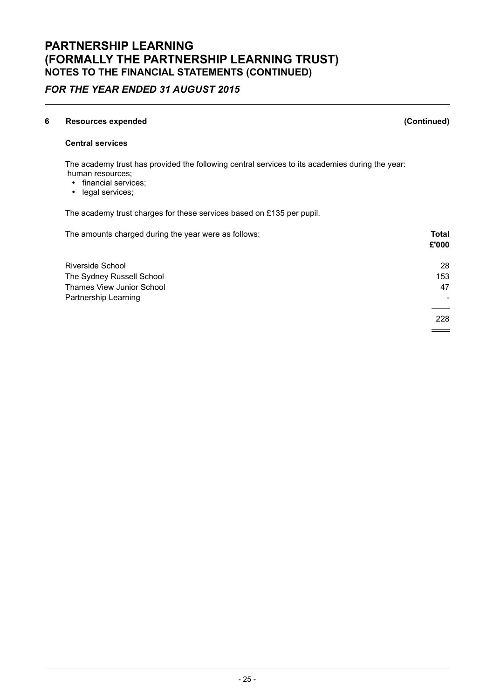### FOR THE YEAR ENDED 31 AUGUST 2015

#### 6 Resources expended (Continued)

#### Central services

The academy trust has provided the following central services to its academies during the year: human resources;

- financial services;
- legal services;

The academy trust charges for these services based on £135 per pupil.

| The amounts charged during the year were as follows: | <b>Total</b><br>£'000 |
|------------------------------------------------------|-----------------------|
| Riverside School                                     | 28                    |
| The Sydney Russell School                            | 153                   |
| Thames View Junior School                            | 47                    |
| Partnership Learning                                 |                       |
|                                                      | 228                   |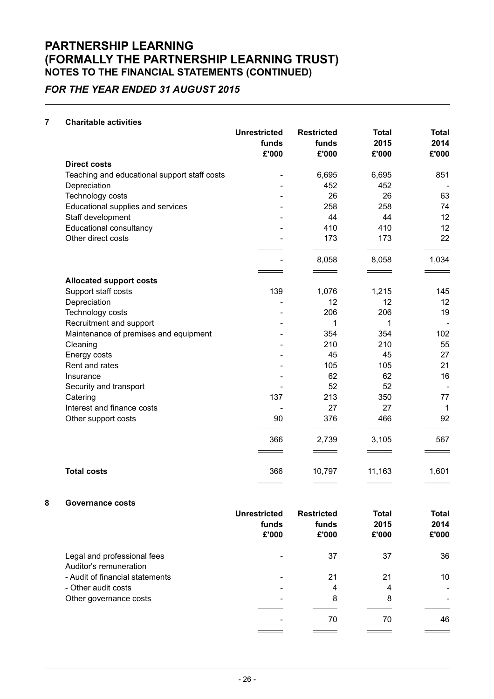## FOR THE YEAR ENDED 31 AUGUST 2015

#### 7 Charitable activities

|                                              | <b>Unrestricted</b><br>funds | <b>Restricted</b><br>funds | <b>Total</b><br>2015 | <b>Total</b><br>2014 |
|----------------------------------------------|------------------------------|----------------------------|----------------------|----------------------|
|                                              | £'000                        | £'000                      | £'000                | £'000                |
| <b>Direct costs</b>                          |                              |                            |                      |                      |
| Teaching and educational support staff costs |                              | 6,695                      | 6,695                | 851                  |
| Depreciation                                 |                              | 452                        | 452                  |                      |
| Technology costs                             |                              | 26                         | 26                   | 63                   |
| Educational supplies and services            |                              | 258                        | 258                  | 74                   |
| Staff development                            |                              | 44                         | 44                   | 12                   |
| <b>Educational consultancy</b>               |                              | 410                        | 410                  | 12                   |
| Other direct costs                           |                              | 173                        | 173                  | 22                   |
|                                              |                              | 8,058                      | 8,058                | 1,034                |
| <b>Allocated support costs</b>               |                              |                            |                      |                      |
| Support staff costs                          | 139                          | 1,076                      | 1,215                | 145                  |
| Depreciation                                 |                              | 12                         | 12                   | 12                   |
| Technology costs                             |                              | 206                        | 206                  | 19                   |
| Recruitment and support                      |                              | 1                          | 1                    |                      |
| Maintenance of premises and equipment        |                              | 354                        | 354                  | 102                  |
| Cleaning                                     |                              | 210                        | 210                  | 55                   |
| Energy costs                                 |                              | 45                         | 45                   | 27                   |
| Rent and rates                               |                              | 105                        | 105                  | 21                   |
| Insurance                                    |                              | 62                         | 62                   | 16                   |
| Security and transport                       |                              | 52                         | 52                   |                      |
| Catering                                     | 137                          | 213                        | 350                  | 77                   |
| Interest and finance costs                   |                              | 27                         | 27                   | $\mathbf 1$          |
| Other support costs                          | 90                           | 376                        | 466                  | 92                   |
|                                              | 366                          | 2,739                      | 3,105                | 567                  |
| <b>Total costs</b>                           | 366                          | 10,797                     | 11,163<br>____       | 1,601                |
|                                              |                              |                            |                      |                      |

#### 8 Governance costs

|                                                       | Unrestricted<br>funds<br>£'000 | <b>Restricted</b><br>funds<br>£'000 | Total<br>2015<br>£'000 | <b>Total</b><br>2014<br>£'000 |
|-------------------------------------------------------|--------------------------------|-------------------------------------|------------------------|-------------------------------|
| Legal and professional fees<br>Auditor's remuneration |                                | 37                                  | 37                     | 36                            |
| - Audit of financial statements                       |                                | 21                                  | 21                     | 10                            |
| - Other audit costs                                   |                                | 4                                   | 4                      |                               |
| Other governance costs                                | $\overline{\phantom{0}}$       | 8                                   | 8                      |                               |
|                                                       |                                | 70                                  | 70                     | 46                            |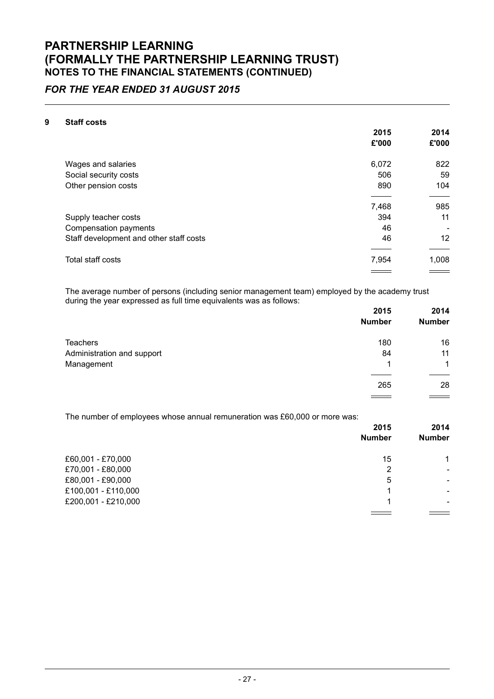### FOR THE YEAR ENDED 31 AUGUST 2015

#### 9 Staff costs

|                                         | 2015  | 2014  |
|-----------------------------------------|-------|-------|
|                                         | £'000 | £'000 |
| Wages and salaries                      | 6,072 | 822   |
| Social security costs                   | 506   | 59    |
| Other pension costs                     | 890   | 104   |
|                                         |       |       |
|                                         | 7,468 | 985   |
| Supply teacher costs                    | 394   | 11    |
| Compensation payments                   | 46    |       |
| Staff development and other staff costs | 46    | 12    |
|                                         |       |       |
| Total staff costs                       | 7,954 | 1,008 |
|                                         |       |       |

The average number of persons (including senior management team) employed by the academy trust during the year expressed as full time equivalents was as follows:

|                            | 2015          | 2014                 |
|----------------------------|---------------|----------------------|
|                            | <b>Number</b> | <b>Number</b>        |
| <b>Teachers</b>            | 180           | 16                   |
| Administration and support | 84            | 11                   |
| Management                 | 1             | $\blacktriangleleft$ |
|                            | 265           | 28                   |
|                            |               |                      |

The number of employees whose annual remuneration was £60,000 or more was:

|                     | 2015          | 2014          |
|---------------------|---------------|---------------|
|                     | <b>Number</b> | <b>Number</b> |
| £60,001 - £70,000   | 15            | 1             |
| £70,001 - £80,000   | 2             | -             |
| £80,001 - £90,000   | 5             | -             |
| £100,001 - £110,000 | 1             | -             |
| £200,001 - £210,000 | ٠             | ۰.            |
|                     |               |               |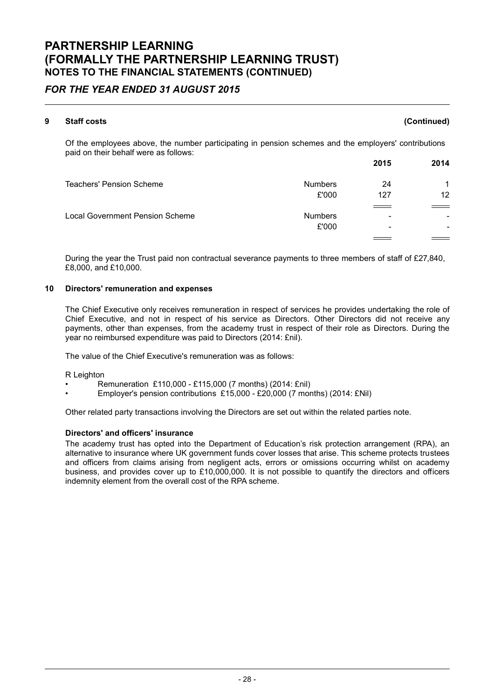### FOR THE YEAR ENDED 31 AUGUST 2015

### 9 Staff costs (Continued) Of the employees above, the number participating in pension schemes and the employers' contributions paid on their behalf were as follows: 2015 2014 Teachers' Pension Scheme Numbers 24 24 1 £'000 127 12  $\overline{\phantom{0}}$ Local Government Pension Scheme Numbers - -  $£'000$

During the year the Trust paid non contractual severance payments to three members of staff of £27,840, £8,000, and £10,000.

#### 10 Directors' remuneration and expenses

The Chief Executive only receives remuneration in respect of services he provides undertaking the role of Chief Executive, and not in respect of his service as Directors. Other Directors did not receive any payments, other than expenses, from the academy trust in respect of their role as Directors. During the year no reimbursed expenditure was paid to Directors (2014: £nil).

The value of the Chief Executive's remuneration was as follows:

R Leighton

- Remuneration £110,000 £115,000 (7 months) (2014: £nil)
- Employer's pension contributions £15,000 £20,000 (7 months) (2014: £Nil)

Other related party transactions involving the Directors are set out within the related parties note.

#### Directors' and officers' insurance

The academy trust has opted into the Department of Education's risk protection arrangement (RPA), an alternative to insurance where UK government funds cover losses that arise. This scheme protects trustees and officers from claims arising from negligent acts, errors or omissions occurring whilst on academy business, and provides cover up to £10,000,000. It is not possible to quantify the directors and officers indemnity element from the overall cost of the RPA scheme.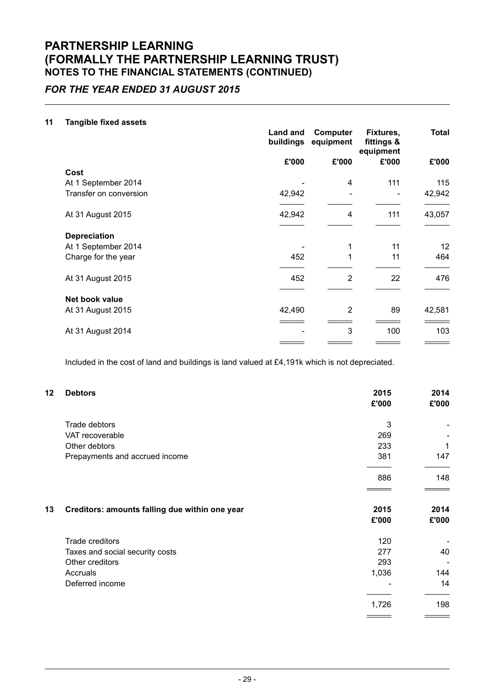### FOR THE YEAR ENDED 31 AUGUST 2015

#### 11 Tangible fixed assets

|                        | Land and<br>buildings | <b>Computer</b><br>equipment | Fixtures,<br>fittings &<br>equipment | <b>Total</b> |
|------------------------|-----------------------|------------------------------|--------------------------------------|--------------|
|                        | £'000                 | £'000                        | £'000                                | £'000        |
| Cost                   |                       |                              |                                      |              |
| At 1 September 2014    |                       | 4                            | 111                                  | 115          |
| Transfer on conversion | 42,942                | $\overline{\phantom{0}}$     |                                      | 42,942       |
| At 31 August 2015      | 42,942                | 4                            | 111                                  | 43,057       |
| <b>Depreciation</b>    |                       |                              |                                      |              |
| At 1 September 2014    |                       | 1                            | 11                                   | 12           |
| Charge for the year    | 452                   |                              | 11                                   | 464          |
| At 31 August 2015      | 452                   | $\overline{2}$               | 22                                   | 476          |
| Net book value         |                       |                              |                                      |              |
| At 31 August 2015      | 42,490                | $\overline{2}$               | 89                                   | 42,581       |
|                        |                       |                              |                                      |              |
| At 31 August 2014      |                       | 3                            | 100                                  | 103          |
|                        |                       |                              |                                      |              |

Included in the cost of land and buildings is land valued at £4,191k which is not depreciated.

| <b>Debtors</b>                                 | 2015<br>£'000                                      | 2014<br>£'000 |
|------------------------------------------------|----------------------------------------------------|---------------|
| Trade debtors                                  | 3                                                  |               |
| VAT recoverable                                | 269                                                |               |
| Other debtors                                  | 233                                                | 1             |
| Prepayments and accrued income                 | 381                                                | 147           |
|                                                | 886                                                | 148           |
| Creditors: amounts falling due within one year | 2015<br>£'000                                      | 2014<br>£'000 |
|                                                |                                                    |               |
|                                                | 277                                                | 40            |
| Other creditors                                | 293                                                |               |
| Accruals                                       | 1,036                                              | 144           |
| Deferred income                                |                                                    | 14            |
|                                                | 1,726                                              | 198           |
|                                                | Trade creditors<br>Taxes and social security costs | 120           |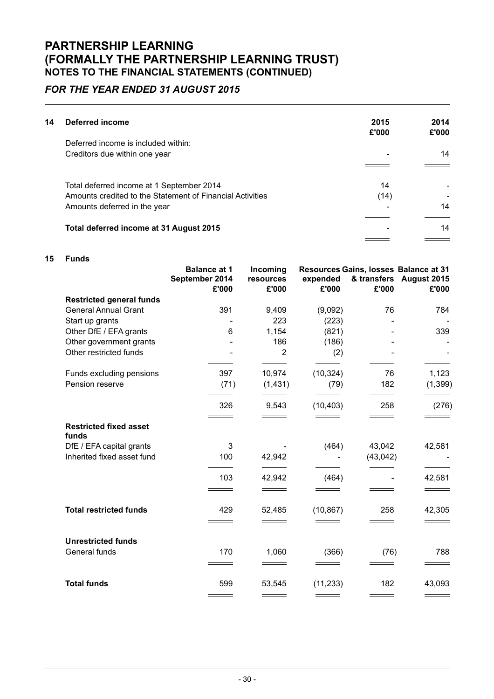### FOR THE YEAR ENDED 31 AUGUST 2015

| 14 | Deferred income                                           | 2015<br>£'000 | 2014<br>£'000 |
|----|-----------------------------------------------------------|---------------|---------------|
|    | Deferred income is included within:                       |               |               |
|    | Creditors due within one year                             |               | 14            |
|    |                                                           |               |               |
|    | Total deferred income at 1 September 2014                 | 14            |               |
|    | Amounts credited to the Statement of Financial Activities | (14)          |               |
|    | Amounts deferred in the year                              |               | 14            |
|    |                                                           |               |               |
|    | Total deferred income at 31 August 2015                   |               | 14            |
|    |                                                           |               |               |

#### 15 Funds

|                                        | <b>Balance at 1</b><br>September 2014<br>£'000 | Incoming<br>resources<br>£'000 | expended<br>£'000 | £'000     | Resources Gains, losses Balance at 31<br>& transfers August 2015<br>£'000 |
|----------------------------------------|------------------------------------------------|--------------------------------|-------------------|-----------|---------------------------------------------------------------------------|
| <b>Restricted general funds</b>        |                                                |                                |                   |           |                                                                           |
| <b>General Annual Grant</b>            | 391                                            | 9,409                          | (9,092)           | 76        | 784                                                                       |
| Start up grants                        |                                                | 223                            | (223)             |           |                                                                           |
| Other DfE / EFA grants                 | 6                                              | 1,154                          | (821)             |           | 339                                                                       |
| Other government grants                |                                                | 186                            | (186)             |           |                                                                           |
| Other restricted funds                 |                                                | $\overline{2}$                 | (2)               |           |                                                                           |
| Funds excluding pensions               | 397                                            | 10,974                         | (10, 324)         | 76        | 1,123                                                                     |
| Pension reserve                        | (71)                                           | (1,431)                        | (79)              | 182       | (1, 399)                                                                  |
|                                        | 326                                            | 9,543                          | (10, 403)         | 258       | (276)                                                                     |
| <b>Restricted fixed asset</b><br>funds |                                                |                                |                   |           |                                                                           |
| DfE / EFA capital grants               | 3                                              |                                | (464)             | 43,042    | 42,581                                                                    |
| Inherited fixed asset fund             | 100                                            | 42,942                         |                   | (43, 042) |                                                                           |
|                                        | 103                                            | 42,942                         | (464)             |           | 42,581                                                                    |
|                                        |                                                |                                |                   |           |                                                                           |
| <b>Total restricted funds</b>          | 429                                            | 52,485                         | (10, 867)         | 258       | 42,305                                                                    |
|                                        |                                                |                                |                   |           |                                                                           |
| <b>Unrestricted funds</b>              |                                                |                                |                   |           |                                                                           |
| General funds                          | 170                                            | 1,060                          | (366)             | (76)      | 788                                                                       |
|                                        |                                                |                                |                   |           |                                                                           |
| <b>Total funds</b>                     | 599                                            | 53,545                         | (11, 233)         | 182       | 43,093                                                                    |
|                                        |                                                |                                |                   |           |                                                                           |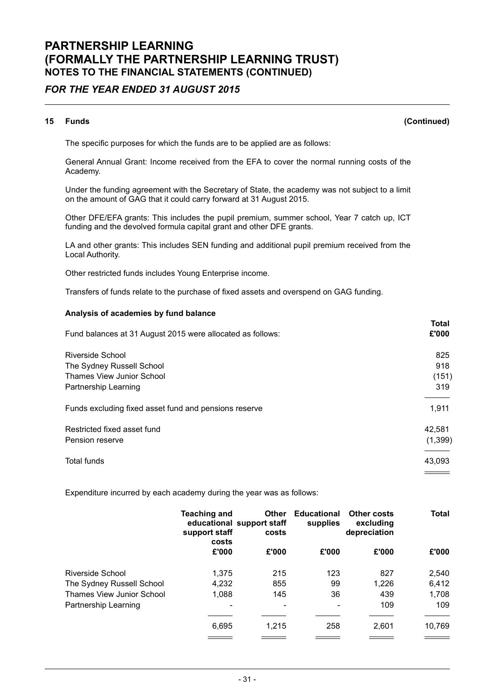### FOR THE YEAR ENDED 31 AUGUST 2015

#### 15 Funds (Continued)

The specific purposes for which the funds are to be applied are as follows:

General Annual Grant: Income received from the EFA to cover the normal running costs of the Academy.

Under the funding agreement with the Secretary of State, the academy was not subject to a limit on the amount of GAG that it could carry forward at 31 August 2015.

Other DFE/EFA grants: This includes the pupil premium, summer school, Year 7 catch up, ICT funding and the devolved formula capital grant and other DFE grants.

LA and other grants: This includes SEN funding and additional pupil premium received from the Local Authority.

Other restricted funds includes Young Enterprise income.

Transfers of funds relate to the purchase of fixed assets and overspend on GAG funding.

#### Analysis of academies by fund balance

| Fund balances at 31 August 2015 were allocated as follows:                                                | <b>Total</b><br>£'000      |
|-----------------------------------------------------------------------------------------------------------|----------------------------|
| Riverside School<br>The Sydney Russell School<br><b>Thames View Junior School</b><br>Partnership Learning | 825<br>918<br>(151)<br>319 |
| Funds excluding fixed asset fund and pensions reserve                                                     | 1,911                      |
| Restricted fixed asset fund<br>Pension reserve                                                            | 42,581<br>(1,399)          |
| Total funds                                                                                               | 43,093                     |

Expenditure incurred by each academy during the year was as follows:

|                           | <b>Teaching and</b><br>support staff<br>costs | <b>Other</b><br>educational support staff<br>costs | <b>Educational</b><br>supplies | <b>Other costs</b><br>excluding<br>depreciation | Total  |
|---------------------------|-----------------------------------------------|----------------------------------------------------|--------------------------------|-------------------------------------------------|--------|
|                           | £'000                                         | £'000                                              | £'000                          | £'000                                           | £'000  |
| Riverside School          | 1.375                                         | 215                                                | 123                            | 827                                             | 2,540  |
| The Sydney Russell School | 4,232                                         | 855                                                | 99                             | 1,226                                           | 6,412  |
| Thames View Junior School | 1,088                                         | 145                                                | 36                             | 439                                             | 1,708  |
| Partnership Learning      | ۰                                             | $\overline{\phantom{a}}$                           |                                | 109                                             | 109    |
|                           | 6,695                                         | 1.215                                              | 258                            | 2.601                                           | 10,769 |
|                           |                                               |                                                    |                                |                                                 |        |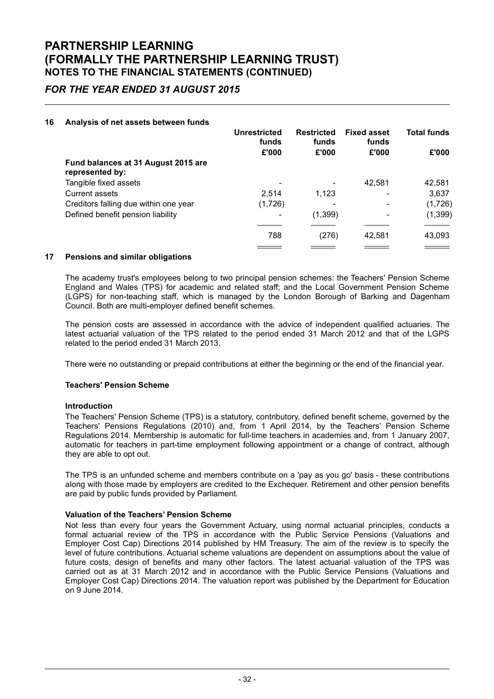### FOR THE YEAR ENDED 31 AUGUST 2015

#### 16 Analysis of net assets between funds

|                                                        | Unrestricted<br>funds    |          | <b>Restricted</b><br>funds | <b>Fixed asset</b><br>funds | <b>Total funds</b> |
|--------------------------------------------------------|--------------------------|----------|----------------------------|-----------------------------|--------------------|
|                                                        | £'000                    | £'000    | £'000                      | £'000                       |                    |
| Fund balances at 31 August 2015 are<br>represented by: |                          |          |                            |                             |                    |
| Tangible fixed assets                                  |                          | ۰        | 42.581                     | 42,581                      |                    |
| Current assets                                         | 2,514                    | 1,123    | ۰                          | 3,637                       |                    |
| Creditors falling due within one year                  | (1,726)                  |          |                            | (1,726)                     |                    |
| Defined benefit pension liability                      | $\overline{\phantom{0}}$ | (1, 399) | $\overline{\phantom{0}}$   | (1, 399)                    |                    |
|                                                        |                          |          |                            |                             |                    |
|                                                        | 788                      | (276)    | 42,581                     | 43,093                      |                    |
|                                                        |                          |          |                            |                             |                    |

#### 17 Pensions and similar obligations

The academy trust's employees belong to two principal pension schemes: the Teachers' Pension Scheme England and Wales (TPS) for academic and related staff; and the Local Government Pension Scheme (LGPS) for non-teaching staff, which is managed by the London Borough of Barking and Dagenham Council. Both are multi-employer defined benefit schemes.

The pension costs are assessed in accordance with the advice of independent qualified actuaries. The latest actuarial valuation of the TPS related to the period ended 31 March 2012 and that of the LGPS related to the period ended 31 March 2013.

There were no outstanding or prepaid contributions at either the beginning or the end of the financial year.

#### Teachers' Pension Scheme

#### Introduction

The Teachers' Pension Scheme (TPS) is a statutory, contributory, defined benefit scheme, governed by the Teachers' Pensions Regulations (2010) and, from 1 April 2014, by the Teachers' Pension Scheme Regulations 2014. Membership is automatic for full-time teachers in academies and, from 1 January 2007, automatic for teachers in part-time employment following appointment or a change of contract, although they are able to opt out.

The TPS is an unfunded scheme and members contribute on a 'pay as you go' basis - these contributions along with those made by employers are credited to the Exchequer. Retirement and other pension benefits are paid by public funds provided by Parliament.

#### Valuation of the Teachers' Pension Scheme

Not less than every four years the Government Actuary, using normal actuarial principles, conducts a formal actuarial review of the TPS in accordance with the Public Service Pensions (Valuations and Employer Cost Cap) Directions 2014 published by HM Treasury. The aim of the review is to specify the level of future contributions. Actuarial scheme valuations are dependent on assumptions about the value of future costs, design of benefits and many other factors. The latest actuarial valuation of the TPS was carried out as at 31 March 2012 and in accordance with the Public Service Pensions (Valuations and Employer Cost Cap) Directions 2014. The valuation report was published by the Department for Education on 9 June 2014.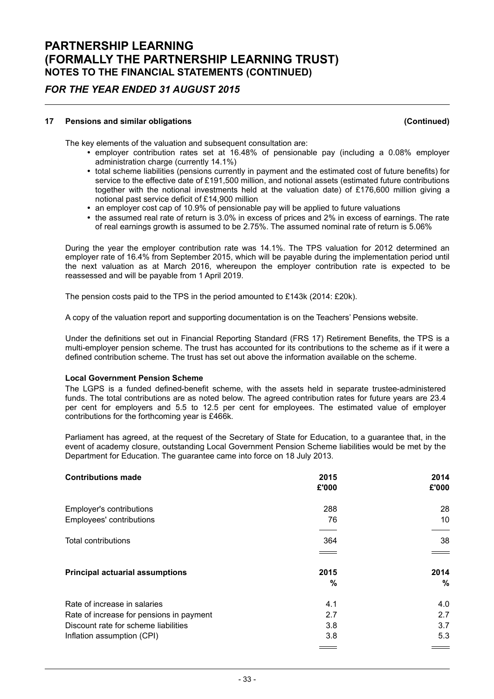### FOR THE YEAR ENDED 31 AUGUST 2015

#### 17 Pensions and similar obligations (Continued)

The key elements of the valuation and subsequent consultation are:

- $\cdot$  employer contribution rates set at 16.48% of pensionable pay (including a 0.08% employer administration charge (currently 14.1%)
- total scheme liabilities (pensions currently in payment and the estimated cost of future benefits) for service to the effective date of £191,500 million, and notional assets (estimated future contributions together with the notional investments held at the valuation date) of £176,600 million giving a notional past service deficit of £14,900 million
- an employer cost cap of 10.9% of pensionable pay will be applied to future valuations
- the assumed real rate of return is 3.0% in excess of prices and 2% in excess of earnings. The rate of real earnings growth is assumed to be 2.75%. The assumed nominal rate of return is 5.06%

During the year the employer contribution rate was 14.1%. The TPS valuation for 2012 determined an employer rate of 16.4% from September 2015, which will be payable during the implementation period until the next valuation as at March 2016, whereupon the employer contribution rate is expected to be reassessed and will be payable from 1 April 2019.

The pension costs paid to the TPS in the period amounted to £143k (2014: £20k).

A copy of the valuation report and supporting documentation is on the Teachers' Pensions website.

Under the definitions set out in Financial Reporting Standard (FRS 17) Retirement Benefits, the TPS is a multi-employer pension scheme. The trust has accounted for its contributions to the scheme as if it were a defined contribution scheme. The trust has set out above the information available on the scheme.

#### Local Government Pension Scheme

The LGPS is a funded defined-benefit scheme, with the assets held in separate trustee-administered funds. The total contributions are as noted below. The agreed contribution rates for future years are 23.4 per cent for employers and 5.5 to 12.5 per cent for employees. The estimated value of employer contributions for the forthcoming year is £466k.

Parliament has agreed, at the request of the Secretary of State for Education, to a guarantee that, in the event of academy closure, outstanding Local Government Pension Scheme liabilities would be met by the Department for Education. The guarantee came into force on 18 July 2013.

| <b>Contributions made</b>                | 2015<br>£'000 | 2014<br>£'000 |
|------------------------------------------|---------------|---------------|
| Employer's contributions                 | 288           | 28            |
| Employees' contributions                 | 76            | 10            |
| <b>Total contributions</b>               | 364           | 38            |
|                                          |               |               |
| <b>Principal actuarial assumptions</b>   | 2015          | 2014          |
|                                          | %             | %             |
| Rate of increase in salaries             | 4.1           | 4.0           |
| Rate of increase for pensions in payment | 2.7           | 2.7           |
| Discount rate for scheme liabilities     | 3.8           | 3.7           |
| Inflation assumption (CPI)               | 3.8           | 5.3           |
|                                          |               |               |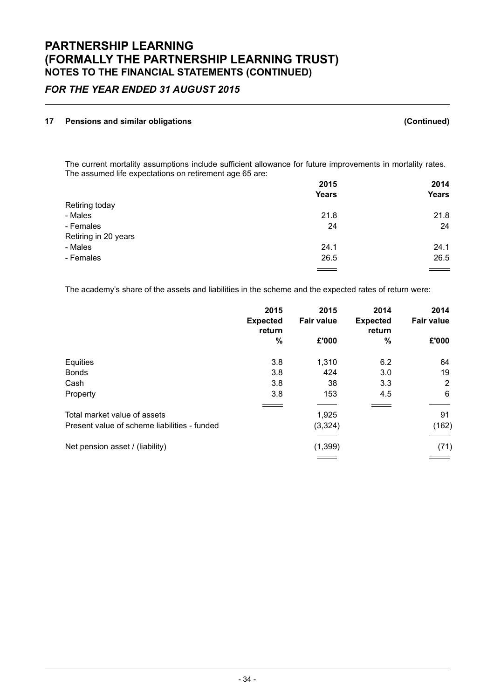### FOR THE YEAR ENDED 31 AUGUST 2015

#### 17 Pensions and similar obligations (Continued)

The current mortality assumptions include sufficient allowance for future improvements in mortality rates. The assumed life expectations on retirement age 65 are:

|                      | 2015         | 2014         |
|----------------------|--------------|--------------|
|                      | <b>Years</b> | <b>Years</b> |
| Retiring today       |              |              |
| - Males              | 21.8         | 21.8         |
| - Females            | 24           | 24           |
| Retiring in 20 years |              |              |
| - Males              | 24.1         | 24.1         |
| - Females            | 26.5         | 26.5         |
|                      |              | $\sim$       |

The academy's share of the assets and liabilities in the scheme and the expected rates of return were:

|                                                                              | 2015                      | 2015              | 2014                      | 2014              |
|------------------------------------------------------------------------------|---------------------------|-------------------|---------------------------|-------------------|
|                                                                              | <b>Expected</b><br>return | <b>Fair value</b> | <b>Expected</b><br>return | <b>Fair value</b> |
|                                                                              | $\%$                      | £'000             | $\%$                      | £'000             |
| Equities                                                                     | 3.8                       | 1,310             | 6.2                       | 64                |
| <b>Bonds</b>                                                                 | 3.8                       | 424               | 3.0                       | 19                |
| Cash                                                                         | 3.8                       | 38                | 3.3                       | 2                 |
| Property                                                                     | 3.8                       | 153               | 4.5                       | 6                 |
| Total market value of assets<br>Present value of scheme liabilities - funded |                           | 1,925             |                           | 91                |
|                                                                              |                           | (3, 324)          |                           | (162)             |
| Net pension asset / (liability)                                              |                           | (1, 399)          |                           | (71)              |
|                                                                              |                           |                   |                           |                   |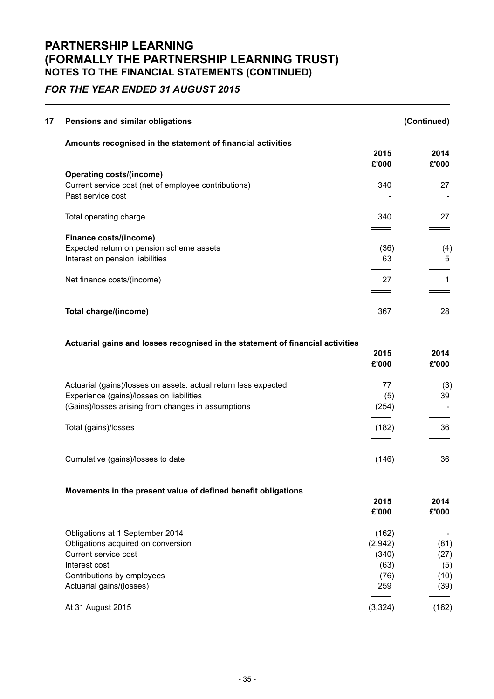## FOR THE YEAR ENDED 31 AUGUST 2015

| 17 | Pensions and similar obligations                                               |                                     | (Continued)   |
|----|--------------------------------------------------------------------------------|-------------------------------------|---------------|
|    | Amounts recognised in the statement of financial activities                    |                                     |               |
|    |                                                                                | 2015<br>£'000                       | 2014<br>£'000 |
|    | <b>Operating costs/(income)</b>                                                |                                     |               |
|    | Current service cost (net of employee contributions)<br>Past service cost      | 340                                 | 27            |
|    | Total operating charge                                                         | 340                                 | 27            |
|    | Finance costs/(income)                                                         |                                     |               |
|    | Expected return on pension scheme assets                                       | (36)                                | (4)           |
|    | Interest on pension liabilities                                                | 63                                  | 5             |
|    | Net finance costs/(income)                                                     | 27                                  | 1             |
|    |                                                                                |                                     |               |
|    | Total charge/(income)                                                          | 367                                 | 28            |
|    |                                                                                |                                     |               |
|    | Actuarial gains and losses recognised in the statement of financial activities |                                     |               |
|    |                                                                                | 2015<br>£'000                       | 2014<br>£'000 |
|    | Actuarial (gains)/losses on assets: actual return less expected                | 77                                  | (3)           |
|    | Experience (gains)/losses on liabilities                                       | (5)                                 | 39            |
|    | (Gains)/losses arising from changes in assumptions                             | (254)                               |               |
|    | Total (gains)/losses                                                           | (182)<br>$\equiv$ $\equiv$ $\equiv$ | 36            |
|    | Cumulative (gains)/losses to date                                              | (146)                               | 36            |
|    |                                                                                |                                     |               |
|    | Movements in the present value of defined benefit obligations                  |                                     |               |
|    |                                                                                | 2015                                | 2014          |
|    |                                                                                | £'000                               | £'000         |
|    | Obligations at 1 September 2014                                                | (162)                               |               |
|    | Obligations acquired on conversion                                             | (2,942)                             | (81)          |
|    | Current service cost                                                           | (340)                               | (27)          |
|    | Interest cost                                                                  | (63)                                | (5)           |
|    | Contributions by employees                                                     | (76)                                | (10)          |
|    | Actuarial gains/(losses)                                                       | 259                                 | (39)          |
|    | At 31 August 2015                                                              | (3, 324)                            | (162)         |
|    |                                                                                |                                     |               |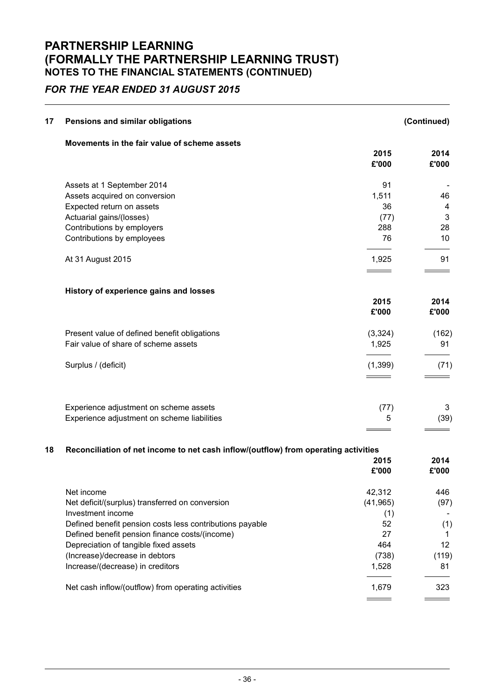### FOR THE YEAR ENDED 31 AUGUST 2015

| 17 | Pensions and similar obligations                                                    |                                        | (Continued)   |
|----|-------------------------------------------------------------------------------------|----------------------------------------|---------------|
|    | Movements in the fair value of scheme assets                                        | 2015<br>£'000                          | 2014<br>£'000 |
|    |                                                                                     | 91                                     |               |
|    | Assets at 1 September 2014<br>Assets acquired on conversion                         | 1,511                                  | 46            |
|    | Expected return on assets                                                           | 36                                     | 4             |
|    | Actuarial gains/(losses)                                                            | (77)                                   | $\mathbf{3}$  |
|    | Contributions by employers                                                          | 288                                    | 28            |
|    | Contributions by employees                                                          | 76                                     | 10            |
|    | At 31 August 2015                                                                   | 1,925                                  | 91            |
|    |                                                                                     |                                        |               |
|    | History of experience gains and losses                                              | 2015                                   | 2014          |
|    |                                                                                     | £'000                                  | £'000         |
|    | Present value of defined benefit obligations                                        | (3,324)                                | (162)         |
|    | Fair value of share of scheme assets                                                | 1,925                                  | 91            |
|    | Surplus / (deficit)                                                                 | (1, 399)<br>$\equiv$ $\equiv$ $\equiv$ | (71)          |
|    | Experience adjustment on scheme assets                                              | (77)                                   | 3             |
|    | Experience adjustment on scheme liabilities                                         | 5                                      | (39)          |
| 18 | Reconciliation of net income to net cash inflow/(outflow) from operating activities |                                        |               |
|    |                                                                                     | 2015                                   | 2014          |
|    |                                                                                     | £'000                                  | £'000         |
|    | Net income                                                                          | 42,312                                 | 446           |
|    | Net deficit/(surplus) transferred on conversion                                     | (41, 965)                              | (97)          |
|    | Investment income                                                                   | (1)                                    |               |
|    | Defined benefit pension costs less contributions payable                            | 52                                     | (1)           |
|    | Defined benefit pension finance costs/(income)                                      | 27                                     | 1             |
|    | Depreciation of tangible fixed assets                                               | 464                                    | 12            |
|    | (Increase)/decrease in debtors                                                      | (738)                                  | (119)         |
|    | Increase/(decrease) in creditors                                                    | 1,528                                  | 81            |
|    | Net cash inflow/(outflow) from operating activities                                 | 1,679                                  | 323           |

 $\frac{1}{1}$ 

 $\frac{1}{2}$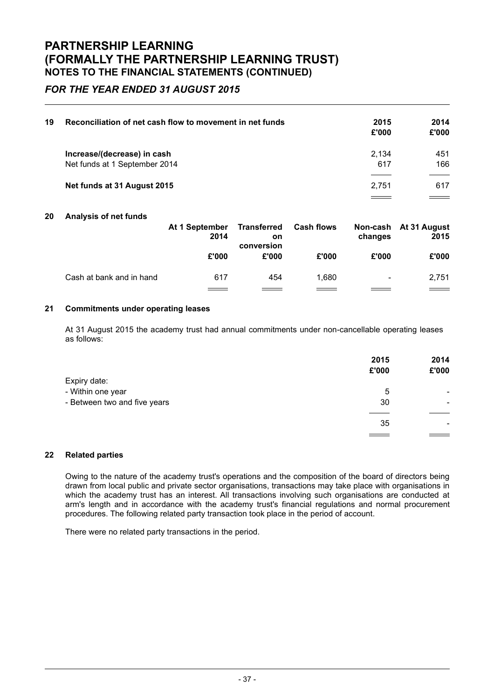### FOR THE YEAR ENDED 31 AUGUST 2015

| 19 | Reconciliation of net cash flow to movement in net funds | 2015<br>£'000 | 2014<br>£'000 |
|----|----------------------------------------------------------|---------------|---------------|
|    | Increase/(decrease) in cash                              | 2.134         | 451           |
|    | Net funds at 1 September 2014                            | 617           | 166           |
|    |                                                          |               |               |
|    | Net funds at 31 August 2015                              | 2.751         | 617           |
|    |                                                          |               |               |

#### 20 Analysis of net funds

|                          | At 1 September<br>2014 | <b>Transferred</b><br><b>on</b><br>conversion | <b>Cash flows</b> | changes | Non-cash At 31 August<br>2015 |
|--------------------------|------------------------|-----------------------------------------------|-------------------|---------|-------------------------------|
|                          | £'000                  | £'000                                         | £'000             | £'000   | £'000                         |
| Cash at bank and in hand | 617                    | 454                                           | 1.680             | -       | 2.751                         |
|                          |                        |                                               |                   |         | $\frac{1}{1}$                 |

#### 21 Commitments under operating leases

At 31 August 2015 the academy trust had annual commitments under non-cancellable operating leases as follows:

|                              | 2015  | 2014  |
|------------------------------|-------|-------|
|                              | £'000 | £'000 |
| Expiry date:                 |       |       |
| - Within one year            | 5     | -     |
| - Between two and five years | 30    | -     |
|                              |       |       |
|                              | 35    | -     |
|                              |       |       |

#### 22 Related parties

Owing to the nature of the academy trust's operations and the composition of the board of directors being drawn from local public and private sector organisations, transactions may take place with organisations in which the academy trust has an interest. All transactions involving such organisations are conducted at arm's length and in accordance with the academy trust's financial regulations and normal procurement procedures. The following related party transaction took place in the period of account.

There were no related party transactions in the period.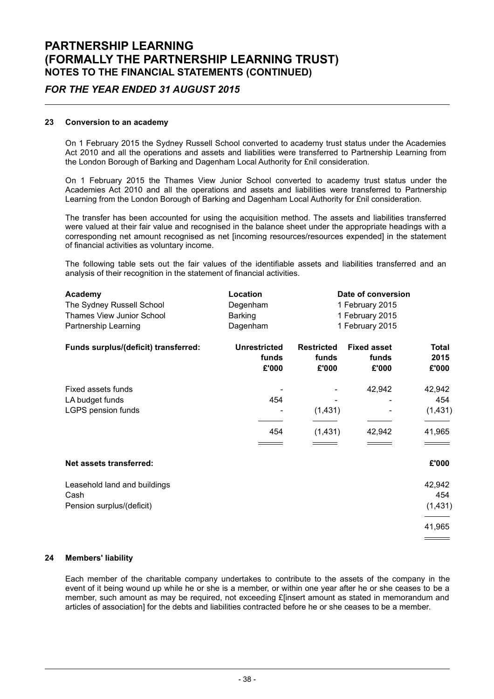### FOR THE YEAR ENDED 31 AUGUST 2015

#### 23 Conversion to an academy

On 1 February 2015 the Sydney Russell School converted to academy trust status under the Academies Act 2010 and all the operations and assets and liabilities were transferred to Partnership Learning from the London Borough of Barking and Dagenham Local Authority for £nil consideration.

On 1 February 2015 the Thames View Junior School converted to academy trust status under the Academies Act 2010 and all the operations and assets and liabilities were transferred to Partnership Learning from the London Borough of Barking and Dagenham Local Authority for £nil consideration.

The transfer has been accounted for using the acquisition method. The assets and liabilities transferred were valued at their fair value and recognised in the balance sheet under the appropriate headings with a corresponding net amount recognised as net [incoming resources/resources expended] in the statement of financial activities as voluntary income.

The following table sets out the fair values of the identifiable assets and liabilities transferred and an analysis of their recognition in the statement of financial activities.

| Academy<br>The Sydney Russell School                              | Location<br>Degenham                  |                                     | Date of conversion<br>1 February 2015 |                                     |
|-------------------------------------------------------------------|---------------------------------------|-------------------------------------|---------------------------------------|-------------------------------------|
| Thames View Junior School<br>Partnership Learning                 | Barking<br>Dagenham                   |                                     | 1 February 2015<br>1 February 2015    |                                     |
| Funds surplus/(deficit) transferred:                              | <b>Unrestricted</b><br>funds<br>£'000 | <b>Restricted</b><br>funds<br>£'000 | <b>Fixed asset</b><br>funds<br>£'000  | <b>Total</b><br>2015<br>£'000       |
| Fixed assets funds<br>LA budget funds<br>LGPS pension funds       | 454<br>454                            | (1,431)<br>(1,431)                  | 42,942<br>42,942                      | 42,942<br>454<br>(1, 431)<br>41,965 |
| Net assets transferred:                                           |                                       |                                     |                                       | £'000                               |
| Leasehold land and buildings<br>Cash<br>Pension surplus/(deficit) |                                       |                                     |                                       | 42,942<br>454<br>(1,431)<br>41,965  |
|                                                                   |                                       |                                     |                                       |                                     |

#### 24 Members' liability

Each member of the charitable company undertakes to contribute to the assets of the company in the event of it being wound up while he or she is a member, or within one year after he or she ceases to be a member, such amount as may be required, not exceeding £[insert amount as stated in memorandum and articles of association] for the debts and liabilities contracted before he or she ceases to be a member.